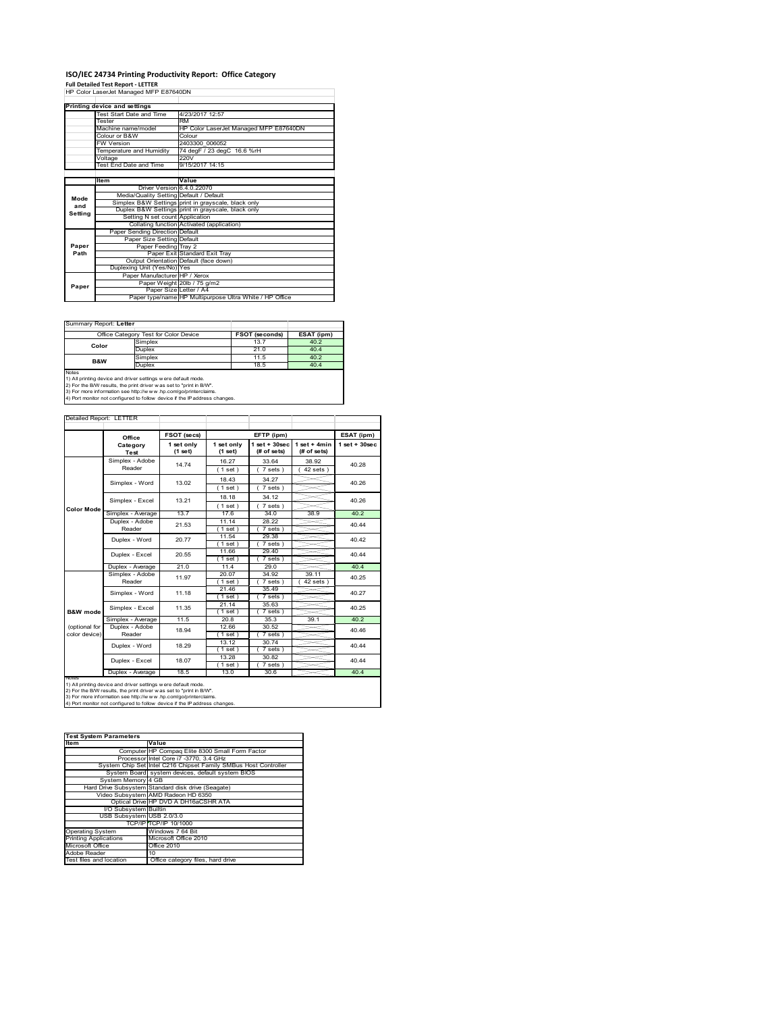## **ISO/IEC 24734 Printing Productivity Report: Office Category Full Detailed Test Report ‐ LETTER** HP Color LaserJet Managed MFP E87640DN

|         | Printing device and settings            |                                                         |  |  |
|---------|-----------------------------------------|---------------------------------------------------------|--|--|
|         | Test Start Date and Time                | 4/23/2017 12:57                                         |  |  |
|         | Tester                                  | <b>RM</b>                                               |  |  |
|         | Machine name/model                      | HP Color LaserJet Managed MFP E87640DN                  |  |  |
|         | Colour or B&W                           | Colour                                                  |  |  |
|         | <b>FW Version</b>                       | 2403300 006052                                          |  |  |
|         | Temperature and Humidity                | 74 degF / 23 degC 16.6 %rH                              |  |  |
|         | Voltage                                 | 220V                                                    |  |  |
|         | Test End Date and Time                  | 9/15/2017 14:15                                         |  |  |
|         |                                         |                                                         |  |  |
|         | <b>Item</b>                             | Value                                                   |  |  |
|         | Driver Version 6.4.0.22070              |                                                         |  |  |
| Mode    | Media/Quality Setting Default / Default |                                                         |  |  |
| and     |                                         | Simplex B&W Settings print in grayscale, black only     |  |  |
| Setting |                                         | Duplex B&W Settings print in grayscale, black only      |  |  |
|         | Setting N set count Application         |                                                         |  |  |
|         |                                         | Collating function Activated (application)              |  |  |
|         | Paper Sending Direction Default         |                                                         |  |  |
|         | Paper Size Setting Default              |                                                         |  |  |
| Paper   | Paper Feeding Tray 2                    |                                                         |  |  |
| Path    |                                         | Paper Exit Standard Exit Tray                           |  |  |
|         |                                         | Output Orientation Default (face down)                  |  |  |
|         | Duplexing Unit (Yes/No) Yes             |                                                         |  |  |
|         | Paper Manufacturer HP / Xerox           |                                                         |  |  |
| Paper   |                                         | Paper Weight 20lb / 75 g/m2                             |  |  |
|         | Paper Size Letter / A4                  |                                                         |  |  |
|         |                                         | Paper type/name HP Multipurpose Ultra White / HP Office |  |  |

 $\overline{\phantom{0}}$ 

#### Summary Report: **Letter**

|                | Office Category Test for Color Device | <b>FSOT (seconds)</b> | ESAT (ipm) |
|----------------|---------------------------------------|-----------------------|------------|
| Color          | Simplex                               | 13.7                  | 40.2       |
|                | Duplex                                | 21.0                  | 40.4       |
| <b>B&amp;W</b> | Simplex                               | 11.5                  | 40.2       |
|                | Duplex                                | 18.5                  | 40.4       |
| Notes          |                                       |                       |            |

Notes<br>1) All printing device and driver settings were default mode.<br>2) For the B/W results, the print driver was set to "print in B/W".<br>3) For more information see http://www.hp.com/go/printerclaims.<br>4) Por more informatio

| Detailed Report: LETTER |  |
|-------------------------|--|

|                     | Office                  | FSOT (secs)           |                         | EFTP (ipm)                     | ESAT (ipm)                    |                    |
|---------------------|-------------------------|-----------------------|-------------------------|--------------------------------|-------------------------------|--------------------|
|                     | Category<br><b>Test</b> | 1 set only<br>(1 set) | 1 set only<br>$(1$ set) | $1$ set + 30sec<br>(# of sets) | $1$ set + 4min<br>(# of sets) | $1$ set + $30$ sec |
|                     | Simplex - Adobe         | 14.74                 | 16.27                   | 33.64                          | 38.92                         | 40.28              |
|                     | Reader                  |                       | (1 set)                 | 7 sets)                        | $42$ sets $)$                 |                    |
|                     | Simplex - Word          | 13.02                 | 18.43                   | 34.27                          |                               | 40.26              |
|                     |                         |                       | (1 set)                 | 7 sets)                        |                               |                    |
|                     | Simplex - Excel         | 13.21                 | 18.18                   | 34.12                          |                               | 40.26              |
| <b>Color Mode</b>   |                         |                       | (1 set)                 | $7 sets$ )                     |                               |                    |
|                     | Simplex - Average       | 13.7                  | 17.6                    | 34.0                           | 38.9                          | 40.2               |
|                     | Duplex - Adobe          | 21.53                 | 11.14                   | 28.22                          |                               | 40.44              |
|                     | Reader                  |                       | $1$ set)                | 7 sets)                        |                               |                    |
|                     | Duplex - Word           | 20.77                 | 11.54                   | 29.38                          |                               | 40.42              |
|                     |                         |                       | $1$ set)                | $7 sets$ )                     |                               |                    |
|                     | Duplex - Excel          | 20.55                 | 11.66                   | 29.40                          |                               | 40.44              |
|                     |                         |                       | $1$ set)                | $7 sets$ )                     |                               |                    |
|                     | Duplex - Average        | 21.0                  | 11.4                    | 29.0                           |                               | 40.4               |
|                     | Simplex - Adobe         | 11.97                 | 20.07                   | 34.92                          | 39.11                         | 40.25              |
|                     | Reader                  |                       | (1 set)                 | 7 sets                         | $42$ sets $)$                 |                    |
|                     | Simplex - Word          | 11.18                 | 21.46                   | 35.49                          |                               | 40.27              |
|                     |                         |                       | (1 set)                 | $7 sets$ )                     |                               |                    |
|                     | Simplex - Excel         | 11.35                 | 21.14                   | 35.63                          |                               | 40.25              |
| <b>B&amp;W</b> mode |                         |                       | $1$ set)                | 7 sets)                        |                               |                    |
|                     | Simplex - Average       | 11.5                  | 20.8                    | 35.3                           | 39.1                          | 40.2               |
| (optional for       | Duplex - Adobe          | 18.94                 | 12.66                   | 30.52                          |                               | 40.46              |
| color device)       | Reader                  |                       | $1$ set)                | 7 sets                         |                               |                    |
|                     | Duplex - Word           | 18.29                 | 13.12                   | 30.74                          |                               | 40.44              |
|                     |                         |                       | $1$ set)                | 7 sets )                       |                               |                    |
|                     | Duplex - Excel          | 18.07                 | 13.28                   | 30.82                          |                               |                    |
|                     |                         |                       | $1$ set)                | $7 sets$ )                     |                               | 40.44              |
|                     | Duplex - Average        | 18.5                  | 13.0                    | 30.6                           |                               | 40.4               |

| <b>Test System Parameters</b> |                                                                 |  |  |  |  |
|-------------------------------|-----------------------------------------------------------------|--|--|--|--|
| <b>Item</b>                   | Value                                                           |  |  |  |  |
|                               | Computer HP Compaq Elite 8300 Small Form Factor                 |  |  |  |  |
|                               | Processor Intel Core i7 -3770, 3.4 GHz                          |  |  |  |  |
|                               | System Chip Set Intel C216 Chipset Family SMBus Host Controller |  |  |  |  |
|                               | System Board system devices, default system BIOS                |  |  |  |  |
| System Memory 4 GB            |                                                                 |  |  |  |  |
|                               | Hard Drive Subsystem Standard disk drive (Seagate)              |  |  |  |  |
|                               | Video Subsystem AMD Radeon HD 6350                              |  |  |  |  |
|                               | Optical Drive HP DVD A DH16aCSHR ATA                            |  |  |  |  |
| I/O Subsystem Builtin         |                                                                 |  |  |  |  |
| USB Subsystem USB 2.0/3.0     |                                                                 |  |  |  |  |
|                               | TCP/IPITCP/IP 10/1000                                           |  |  |  |  |
| <b>Operating System</b>       | Windows 7 64 Bit                                                |  |  |  |  |
| <b>Printing Applications</b>  | Microsoft Office 2010                                           |  |  |  |  |
| Microsoft Office              | Office 2010                                                     |  |  |  |  |
| Adobe Reader                  | 10                                                              |  |  |  |  |
| Test files and location       | Office category files, hard drive                               |  |  |  |  |
|                               |                                                                 |  |  |  |  |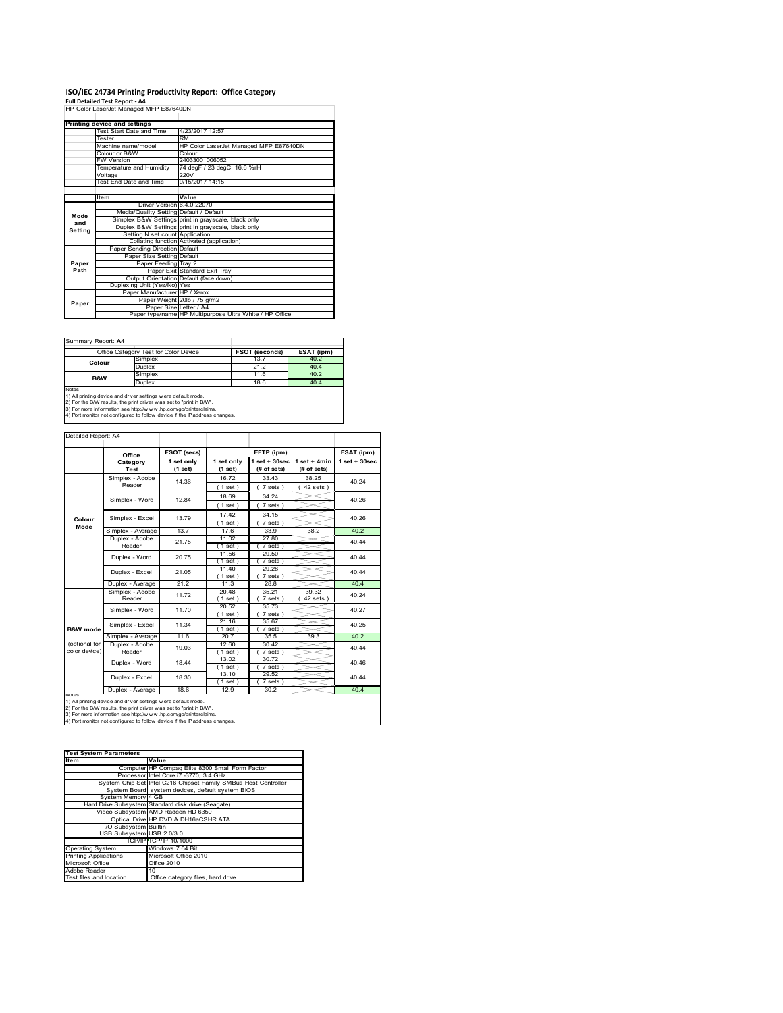# **ISO/IEC 24734 Printing Productivity Report: Office Category Full Detailed Test Report ‐ A4** HP Color LaserJet Managed MFP E87640DN

|         | Printing device and settings            |                                                         |  |  |
|---------|-----------------------------------------|---------------------------------------------------------|--|--|
|         | Test Start Date and Time                | 4/23/2017 12:57                                         |  |  |
|         | Tester                                  | <b>RM</b>                                               |  |  |
|         | Machine name/model                      | HP Color LaserJet Managed MFP E87640DN                  |  |  |
|         | Colour or B&W                           | Colour                                                  |  |  |
|         | <b>FW Version</b>                       | 2403300 006052                                          |  |  |
|         | Temperature and Humidity                | 74 degF / 23 degC 16.6 %rH                              |  |  |
|         | Voltage                                 | 220V                                                    |  |  |
|         | <b>Test End Date and Time</b>           | 9/15/2017 14:15                                         |  |  |
|         |                                         |                                                         |  |  |
|         | Item                                    | Value                                                   |  |  |
|         | Driver Version 6.4.0.22070              |                                                         |  |  |
| Mode    | Media/Quality Setting Default / Default |                                                         |  |  |
| and     |                                         | Simplex B&W Settings print in grayscale, black only     |  |  |
| Setting |                                         | Duplex B&W Settings print in grayscale, black only      |  |  |
|         | Setting N set count Application         |                                                         |  |  |
|         |                                         | Collating function Activated (application)              |  |  |
|         | Paper Sending Direction Default         |                                                         |  |  |
|         | Paper Size Setting Default              |                                                         |  |  |
| Paper   | Paper Feeding Tray 2                    |                                                         |  |  |
| Path    |                                         | Paper Exit Standard Exit Tray                           |  |  |
|         |                                         | Output Orientation Default (face down)                  |  |  |
|         | Duplexing Unit (Yes/No) Yes             |                                                         |  |  |
|         | Paper Manufacturer HP / Xerox           |                                                         |  |  |
| Paper   |                                         | Paper Weight 20lb / 75 g/m2                             |  |  |
|         | Paper Size Letter / A4                  |                                                         |  |  |
|         |                                         | Paper type/name HP Multipurpose Ultra White / HP Office |  |  |

Summary Report: **A4**

|                | Office Category Test for Color Device | FSOT (seconds) | ESAT (ipm) |
|----------------|---------------------------------------|----------------|------------|
| Colour         | Simplex                               | 13.7           | 40.2       |
|                | Duplex                                | 21.2           | 40.4       |
| <b>B&amp;W</b> | Simplex                               | 11.6           | 40.2       |
|                | Duplex                                | 18.6           | 40.4       |
| Notes          |                                       |                |            |

Notes<br>1) All printing device and driver settings were default mode.<br>2) For the B/W results, the print driver was set to "print in B/W".<br>3) For more information see http://www.vhp.com/go/printerclaims.<br>4) Por more informati

|                                | Office                    | FSOT (secs)           |                       | EFTP (ipm)                        |                               | ESAT (ipm)         |
|--------------------------------|---------------------------|-----------------------|-----------------------|-----------------------------------|-------------------------------|--------------------|
|                                | Category<br>Test          | 1 set only<br>(1 set) | 1 set only<br>(1 set) | $1$ set + $30$ sec<br>(# of sets) | $1$ set + 4min<br>(# of sets) | $1$ set + $30$ sec |
|                                | Simplex - Adobe<br>Reader | 14.36                 | 16.72<br>(1 set)      | 33.43<br>7 sets)                  | 38.25<br>$42$ sets $)$        | 40.24              |
|                                | Simplex - Word            | 12.84                 | 18.69<br>(1 set)      | 34.24<br>7 sets)                  |                               | 40.26              |
| Colour                         | Simplex - Excel           | 13.79                 | 17.42<br>(1 set)      | 34.15<br>7 sets)                  |                               | 40.26              |
| Mode                           | Simplex - Average         | 13.7                  | 17.6                  | 33.9                              | 38.2                          | 40.2               |
|                                | Duplex - Adobe<br>Reader  | 21.75                 | 11.02<br>(1 set)      | 27.80<br>7 sets)                  |                               | 40.44              |
|                                | Duplex - Word             | 20.75                 | 11.56<br>(1 set)      | 29.50<br>7 sets)                  |                               | 40.44              |
|                                | Duplex - Excel            | 21.05                 | 11.40<br>(1 set)      | 29.28<br>7 sets)                  |                               | 40.44              |
|                                | Duplex - Average          | 21.2                  | 11.3                  | 28.8                              |                               | 40.4               |
|                                | Simplex - Adobe<br>Reader | 11.72                 | 20.48<br>(1 set)      | 35.21<br>7 sets)                  | 39.32<br>42 sets              | 40.24              |
|                                | Simplex - Word            | 11.70                 | 20.52<br>(1 set)      | 35.73<br>7 sets)                  |                               | 40.27              |
| B&W mode                       | Simplex - Excel           | 11.34                 | 21.16<br>$1$ set)     | 35.67<br>$7 sets$ )               |                               | 40.25              |
|                                | Simplex - Average         | 11.6                  | 20.7                  | 35.5                              | 39.3                          | 40.2               |
| (optional for<br>color device) | Duplex - Adobe<br>Reader  | 19.03                 | 12.60<br>(1 set)      | 30.42<br>7 sets)                  |                               | 40.44              |
|                                | Duplex - Word             | 18.44                 | 13.02<br>(1 set)      | 30.72<br>7 sets)                  |                               | 40.46              |
|                                | Duplex - Excel            | 18.30                 | 13.10<br>(1 set)      | 29.52<br>7 sets)                  |                               | 40.44              |
|                                | Duplex - Average          | 18.6                  | 12.9                  | 30.2                              |                               | 40.4               |

1) All printing device and driver settings w ere default mode.<br>2) For the B/W results, the print driver was set to "print in B/W".<br>3) For more information see http://www.hp.com/go/printerclaims.<br>4) Port monitor not configu

| <b>Test System Parameters</b> |                                                                 |
|-------------------------------|-----------------------------------------------------------------|
| <b>Item</b>                   | Value                                                           |
|                               | ComputerIHP Compag Elite 8300 Small Form Factor                 |
|                               | Processor Intel Core i7 -3770, 3.4 GHz                          |
|                               | System Chip Set Intel C216 Chipset Family SMBus Host Controller |
|                               | System Board system devices, default system BIOS                |
| System Memory 4 GB            |                                                                 |
|                               | Hard Drive Subsystem Standard disk drive (Seagate)              |
|                               | Video Subsystem AMD Radeon HD 6350                              |
|                               | Optical Drive HP DVD A DH16aCSHR ATA                            |
| I/O Subsystem Builtin         |                                                                 |
| USB Subsystem USB 2.0/3.0     |                                                                 |
|                               | TCP/IPITCP/IP 10/1000                                           |
| <b>Operating System</b>       | Windows 7 64 Bit                                                |
| <b>Printing Applications</b>  | Microsoft Office 2010                                           |
| Microsoft Office              | Office 2010                                                     |
| Adobe Reader                  | 10                                                              |
| Test files and location       | Office category files, hard drive                               |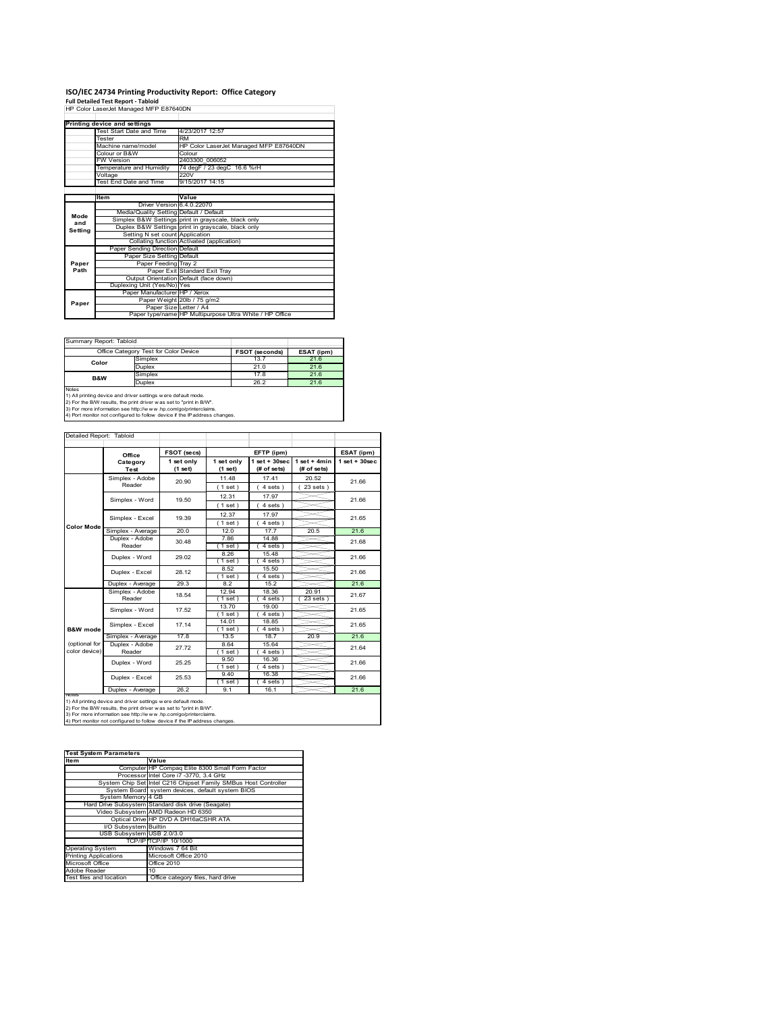# **ISO/IEC 24734 Printing Productivity Report: Office Category Full Detailed Test Report ‐ Tabloid** HP Color LaserJet Managed MFP E87640DN

|         | Printing device and settings            |                                                         |  |  |
|---------|-----------------------------------------|---------------------------------------------------------|--|--|
|         | Test Start Date and Time                | 4/23/2017 12:57                                         |  |  |
|         | <b>Tester</b>                           | <b>RM</b>                                               |  |  |
|         | Machine name/model                      | HP Color LaserJet Managed MFP E87640DN                  |  |  |
|         | Colour or B&W                           | Colour                                                  |  |  |
|         | <b>FW Version</b>                       | 2403300 006052                                          |  |  |
|         | Temperature and Humidity                | 74 degF / 23 degC 16.6 %rH                              |  |  |
|         | Voltage                                 | 220V                                                    |  |  |
|         | Test End Date and Time                  | 9/15/2017 14:15                                         |  |  |
|         |                                         |                                                         |  |  |
|         | <b>Item</b>                             | Value                                                   |  |  |
|         | Driver Version 6.4.0.22070              |                                                         |  |  |
| Mode    | Media/Quality Setting Default / Default |                                                         |  |  |
| and     |                                         | Simplex B&W Settings print in grayscale, black only     |  |  |
| Setting |                                         | Duplex B&W Settings print in grayscale, black only      |  |  |
|         | Setting N set count Application         |                                                         |  |  |
|         |                                         | Collating function Activated (application)              |  |  |
|         | Paper Sending Direction Default         |                                                         |  |  |
|         | Paper Size Setting Default              |                                                         |  |  |
| Paper   | Paper Feeding Tray 2                    |                                                         |  |  |
| Path    |                                         | Paper Exit Standard Exit Tray                           |  |  |
|         |                                         | Output Orientation Default (face down)                  |  |  |
|         | Duplexing Unit (Yes/No) Yes             |                                                         |  |  |
|         | Paper Manufacturer HP / Xerox           |                                                         |  |  |
| Paper   |                                         | Paper Weight 20lb / 75 g/m2                             |  |  |
|         | Paper Size Letter / A4                  |                                                         |  |  |
|         |                                         | Paper type/name HP Multipurpose Ultra White / HP Office |  |  |

| Summary Report: Tabloid |                                       |                |            |
|-------------------------|---------------------------------------|----------------|------------|
|                         | Office Category Test for Color Device | FSOT (seconds) | ESAT (ipm) |
| Color                   | Simplex                               | 13.7           | 21.6       |
|                         | Duplex                                | 21.0           | 21.6       |
|                         | Simplex                               | 17.8           | 21.6       |
| <b>B&amp;W</b>          | Duplex                                | 26.2           | 21.6       |
| Notes                   |                                       |                |            |

Notes<br>1) All printing device and driver settings w ere default mode.<br>2) For the B/W results, the print driver was set to "print in B/W".<br>3) For more information see http://www.hp.com/go/printerclaims.<br>4) Por more informati

|                   | Office                                                         | FSOT (secs)           |                       | EFTP (ipm)                        |                               | ESAT (ipm)              |
|-------------------|----------------------------------------------------------------|-----------------------|-----------------------|-----------------------------------|-------------------------------|-------------------------|
|                   | Category<br>Test                                               | 1 set only<br>(1 set) | 1 set only<br>(1 set) | $1$ set + $30$ sec<br>(# of sets) | $1$ set + 4min<br>(# of sets) | $1$ set + $30$ sec      |
|                   | Simplex - Adobe                                                | 20.90                 | 11.48                 | 17.41                             | 20.52                         | 21.66                   |
|                   | Reader                                                         |                       | (1 set)               | 4 sets)                           | $23$ sets $)$                 |                         |
|                   | Simplex - Word                                                 | 19.50                 | 12.31                 | 17.97                             |                               | 21.66                   |
|                   |                                                                |                       | $1$ set $)$           | $4 sets$ )                        |                               |                         |
|                   | Simplex - Excel                                                | 19.39                 | 12.37                 | 17.97                             |                               | 21.65                   |
| <b>Color Mode</b> |                                                                |                       | (1 set)               | 4 sets)                           |                               |                         |
|                   | Simplex - Average                                              | 20.0                  | 12.0                  | 17.7                              | 20.5                          | 21.6                    |
|                   | Duplex - Adobe                                                 | 30.48                 | 7.86                  | 14.88                             |                               | 21.68                   |
|                   | Reader                                                         |                       | $1$ set)              | 4 sets)                           |                               |                         |
|                   | Duplex - Word                                                  | 29.02                 | 8.26                  | 15.48                             |                               | 21.66                   |
|                   |                                                                |                       | $1$ set)              | 4 sets)                           |                               |                         |
|                   | Duplex - Excel                                                 | 28.12                 | 8.52                  | 15.50                             |                               | 21.66                   |
|                   |                                                                |                       | $1$ set)              | 4 sets)                           |                               |                         |
|                   | Duplex - Average                                               | 29.3                  | 82                    | 15.2                              |                               | 21.6                    |
|                   | Simplex - Adobe<br>Reader<br>Simplex - Word<br>Simplex - Excel | 18.54                 | 12.94                 | 18.36                             | 20.91                         | 21.67<br>21.65<br>21.65 |
|                   |                                                                |                       | $1$ set)              | 4 sets                            | $23$ sets $1$                 |                         |
|                   |                                                                | 17.52                 | 13.70                 | 19.00                             |                               |                         |
|                   |                                                                |                       | $1$ set)<br>14.01     | $4 sets$ )<br>18.85               |                               |                         |
| B&W mode          |                                                                | 17.14                 | $1$ set)              | 4 sets)                           |                               |                         |
|                   | Simplex - Average                                              | 17.8                  | 13.5                  | 18.7                              | 20.9                          | 21.6                    |
| (optional for     | Duplex - Adobe                                                 |                       | 8.64                  | 15.64                             |                               |                         |
| color device)     | Reader                                                         | 27.72                 | $1$ set)              | 4 sets)                           |                               | 21.64                   |
|                   |                                                                |                       | 9.50                  | 16.36                             |                               |                         |
|                   | Duplex - Word                                                  | 25.25                 | $1$ set)              | 4 sets)                           |                               | 21.66                   |
|                   | Duplex - Excel                                                 | 25.53                 | 9.40                  | 16.38                             |                               | 21.66                   |
|                   |                                                                |                       | $1$ set)              | $4 sets$ )                        |                               |                         |
|                   | Duplex - Average                                               | 26.2                  | 9.1                   | 16.1                              |                               | 21.6                    |

1) All printing device and driver settings w ere default mode.<br>2) For the B/W results, the print driver was set to "print in B/W".<br>3) For more information see http://www.hp.com/go/printerclaims.<br>4) Port monitor not configu

| <b>Test System Parameters</b><br>Item | Value                                                           |
|---------------------------------------|-----------------------------------------------------------------|
|                                       | ComputerIHP Compag Elite 8300 Small Form Factor                 |
|                                       | Processor Intel Core i7 -3770, 3.4 GHz                          |
|                                       | System Chip Set Intel C216 Chipset Family SMBus Host Controller |
|                                       | System Board system devices, default system BIOS                |
| System Memory 4 GB                    |                                                                 |
|                                       | Hard Drive Subsystem Standard disk drive (Seagate)              |
|                                       | Video Subsystem AMD Radeon HD 6350                              |
|                                       | Optical Drive HP DVD A DH16aCSHR ATA                            |
| I/O Subsystem Builtin                 |                                                                 |
| USB Subsystem USB 2.0/3.0             |                                                                 |
|                                       | TCP/IPITCP/IP 10/1000                                           |
| <b>Operating System</b>               | Windows 7 64 Bit                                                |
| <b>Printing Applications</b>          | Microsoft Office 2010                                           |
| Microsoft Office                      | Office 2010                                                     |
| Adobe Reader                          | 10                                                              |
| Test files and location               | Office category files, hard drive                               |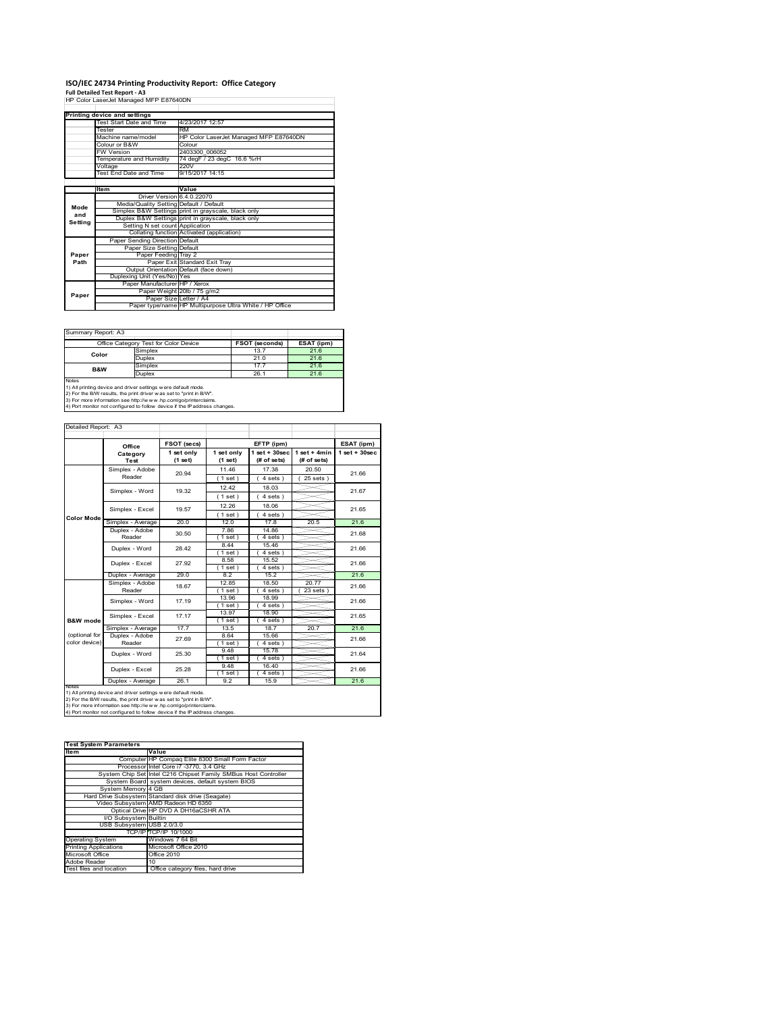# **ISO/IEC 24734 Printing Productivity Report: Office Category Full Detailed Test Report ‐ A3** HP Color LaserJet Managed MFP E87640DN

|         | HP COIOI Lasendel Managed MFP E67040DN  |                                                         |
|---------|-----------------------------------------|---------------------------------------------------------|
|         | Printing device and settings            |                                                         |
|         | Test Start Date and Time                | 4/23/2017 12:57                                         |
|         | Tester                                  | <b>RM</b>                                               |
|         | Machine name/model                      | HP Color LaserJet Managed MFP E87640DN                  |
|         | Colour or B&W                           | Colour                                                  |
|         | <b>FW Version</b>                       | 2403300 006052                                          |
|         | Temperature and Humidity                | 74 degF / 23 degC 16.6 %rH                              |
|         | Voltage                                 | 220V                                                    |
|         | Test End Date and Time                  | 9/15/2017 14:15                                         |
|         |                                         |                                                         |
|         | Item                                    | Value                                                   |
|         | Driver Version 6.4.0.22070              |                                                         |
| Mode    | Media/Quality Setting Default / Default |                                                         |
| and     |                                         | Simplex B&W Settings print in grayscale, black only     |
| Setting |                                         | Duplex B&W Settings print in grayscale, black only      |
|         | Setting N set count Application         |                                                         |
|         |                                         | Collating function Activated (application)              |
|         | Paper Sending Direction Default         |                                                         |
|         | Paper Size Setting Default              |                                                         |
| Paper   | Paper Feeding Tray 2                    |                                                         |
| Path    |                                         | Paper Exit Standard Exit Tray                           |
|         |                                         | Output Orientation Default (face down)                  |
|         | Duplexing Unit (Yes/No) Yes             |                                                         |
|         | Paper Manufacturer HP / Xerox           |                                                         |
| Paper   |                                         | Paper Weight 20lb / 75 g/m2                             |
|         |                                         | Paper Size Letter / A4                                  |
|         |                                         | Paper type/name HP Multipurpose Ultra White / HP Office |

Summary Report: A3

|                | Office Category Test for Color Device                                      | <b>FSOT (seconds)</b> | ESAT (ipm) |
|----------------|----------------------------------------------------------------------------|-----------------------|------------|
| Color          | Simplex                                                                    | 13.7                  | 21.6       |
|                | Duplex                                                                     | 21.0                  | 21.6       |
| <b>B&amp;W</b> | Simplex                                                                    | 17.7                  | 21.6       |
|                | <b>Duplex</b>                                                              | 26.1                  | 21.6       |
| Notes          |                                                                            |                       |            |
|                | 1) All printing device and driver settings w ere default mode.             |                       |            |
|                | 2) For the B/W results, the print driver was set to "print in B/W".        |                       |            |
|                | 3) For more information see http://www.hp.com/go/printerclaims.            |                       |            |
|                | 4) Port monitor not configured to follow device if the IP address changes. |                       |            |

|                     | Office                                                                                                                                                                                                   | FSOT (secs)           |                       | EFTP (ipm)                        |                               | ESAT (ipm)         |
|---------------------|----------------------------------------------------------------------------------------------------------------------------------------------------------------------------------------------------------|-----------------------|-----------------------|-----------------------------------|-------------------------------|--------------------|
|                     | Category<br><b>Test</b>                                                                                                                                                                                  | 1 set only<br>(1 set) | 1 set only<br>(1 set) | $1$ set + $30$ sec<br>(# of sets) | $1$ set + 4min<br>(# of sets) | $1$ set + $30$ sec |
|                     | Simplex - Adobe                                                                                                                                                                                          | 20.94                 | 11.46                 | 17.38                             | 20.50                         | 21.66              |
|                     | Reader                                                                                                                                                                                                   |                       | (1 set)               | $4 sets$ )                        | $25$ sets $)$                 |                    |
|                     | Simplex - Word                                                                                                                                                                                           | 19.32                 | 12.42                 | 18.03                             |                               | 21.67              |
|                     |                                                                                                                                                                                                          | 19.57                 | (1 set)               | 4 sets)                           |                               |                    |
|                     | Simplex - Excel                                                                                                                                                                                          |                       | 12.26                 | 18.06                             |                               | 21.65              |
| <b>Color Mode</b>   |                                                                                                                                                                                                          |                       | (1 set)               | $4 sets$ )                        |                               |                    |
|                     | Simplex - Average                                                                                                                                                                                        | 20.0                  | 12.0                  | 17.8                              | 20.5                          | 21.6               |
|                     | Duplex - Adobe                                                                                                                                                                                           | 30.50                 | 7.86                  | 14.86                             |                               | 21.68              |
|                     | Reader                                                                                                                                                                                                   |                       | $1$ set)              | $4 sets$ )                        |                               |                    |
|                     | Duplex - Word                                                                                                                                                                                            | 28.42                 | 8.44                  | 15.46                             |                               | 21.66              |
|                     |                                                                                                                                                                                                          | $1$ set)              | 4 sets                |                                   |                               |                    |
|                     | Duplex - Excel                                                                                                                                                                                           | 27.92                 | 8.58                  | 15.52                             |                               | 21.66              |
|                     |                                                                                                                                                                                                          |                       | $1$ set)              | 4 sets<br>15.2                    |                               |                    |
|                     | Duplex - Average                                                                                                                                                                                         | 29.0                  | 82                    |                                   |                               | 21.6               |
|                     | Simplex - Adobe<br>Reader                                                                                                                                                                                | 18.67                 | 12.85<br>$1$ set $)$  | 18.50<br>4 sets                   | 20.77<br>23 sets              | 21.66              |
|                     |                                                                                                                                                                                                          |                       | 13.96                 | 18.99                             |                               |                    |
|                     | Simplex - Word                                                                                                                                                                                           | 17.19                 | $1$ set)              | 4 sets                            |                               | 21.66              |
|                     |                                                                                                                                                                                                          | 17.17                 | 13.97                 | 18.90                             |                               |                    |
| <b>B&amp;W</b> mode | Simplex - Excel                                                                                                                                                                                          |                       | $1$ set $)$           | 4 sets                            |                               | 21.65              |
|                     | Simplex - Average                                                                                                                                                                                        | 17.7                  | 13.5                  | 18.7                              | 20.7                          | 21.6               |
| (optional for       | Duplex - Adobe                                                                                                                                                                                           | 27.69                 | 8.64                  | 15.66                             |                               | 21.66              |
| color device)       | Reader                                                                                                                                                                                                   |                       | $1$ set)              | 4 sets)                           |                               |                    |
|                     | Duplex - Word                                                                                                                                                                                            | 25.30                 | 9.48                  | 15.78                             |                               | 21.64              |
|                     |                                                                                                                                                                                                          |                       | $1$ set)              | 4 sets)                           |                               |                    |
|                     | Duplex - Excel                                                                                                                                                                                           | 25.28                 | 9.48                  | 16.40                             |                               | 21.66              |
|                     |                                                                                                                                                                                                          |                       | (1 set)               | 4 sets                            |                               |                    |
|                     | Duplex - Average                                                                                                                                                                                         | 26.1                  | 9.2                   | 15.9                              |                               | 21.6               |
| <b>INOTES</b>       | 1) All printing device and driver settings w ere default mode.<br>2) For the B/W results, the print driver was set to "print in B/W".<br>3) For more information see http://www.hp.com/go/printerclaims. |                       |                       |                                   |                               |                    |

| <b>Test System Parameters</b> |                                                                 |
|-------------------------------|-----------------------------------------------------------------|
| <b>Item</b>                   | Value                                                           |
|                               | Computer HP Compaq Elite 8300 Small Form Factor                 |
|                               | Processor Intel Core i7 -3770, 3.4 GHz                          |
|                               | System Chip Set Intel C216 Chipset Family SMBus Host Controller |
|                               | System Board system devices, default system BIOS                |
| System Memory 4 GB            |                                                                 |
|                               | Hard Drive Subsystem Standard disk drive (Seagate)              |
|                               | Video Subsystem AMD Radeon HD 6350                              |
|                               | Optical Drive HP DVD A DH16aCSHR ATA                            |
| I/O Subsystem Builtin         |                                                                 |
| USB Subsystem USB 2.0/3.0     |                                                                 |
|                               | TCP/IPITCP/IP 10/1000                                           |
| <b>Operating System</b>       | Windows 7 64 Bit                                                |
| <b>Printing Applications</b>  | Microsoft Office 2010                                           |
| Microsoft Office              | Office 2010                                                     |
| Adobe Reader                  | 10                                                              |
| Test files and location       | Office category files, hard drive                               |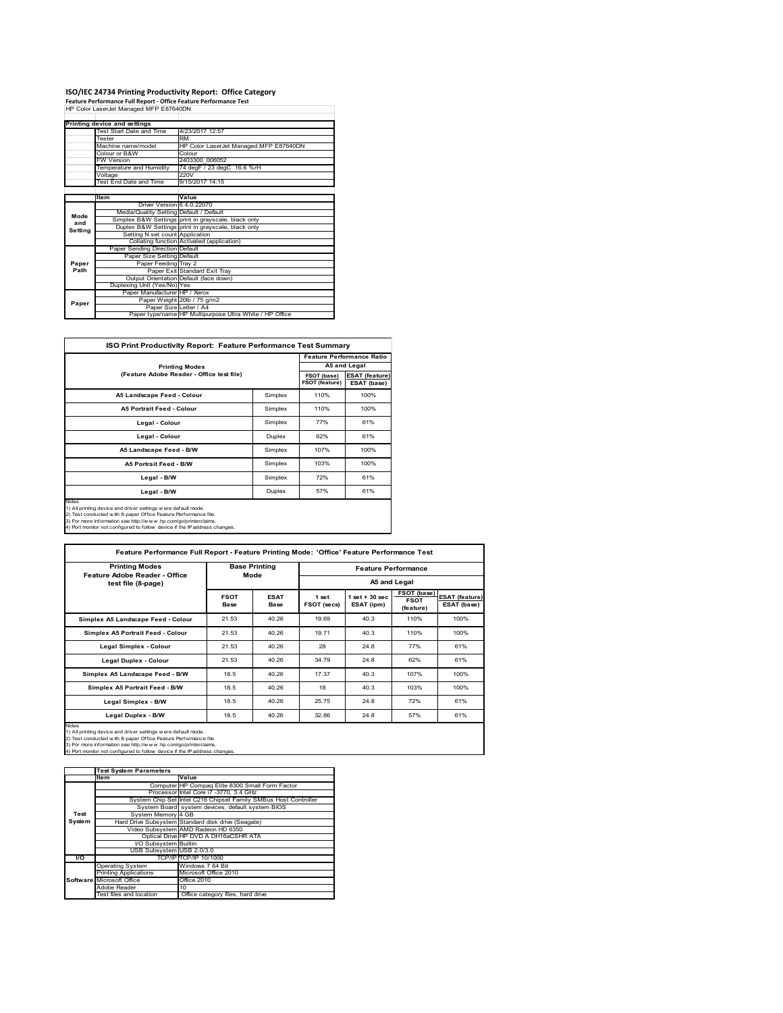# **ISO/IEC 24734 Printing Productivity Report: Office Category Feature Performance Full Report ‐ Office Feature Performance Test** HP Color LaserJet Managed MFP E87640DN

|         | Printing device and settings            |                                                         |
|---------|-----------------------------------------|---------------------------------------------------------|
|         | Test Start Date and Time                | 4/23/2017 12:57                                         |
|         | Tester                                  | <b>RM</b>                                               |
|         | Machine name/model                      | HP Color LaserJet Managed MFP E87640DN                  |
|         | Colour or B&W                           | Colour                                                  |
|         | <b>FW Version</b>                       | 2403300 006052                                          |
|         | Temperature and Humidity                | 74 degF / 23 degC 16.6 %rH                              |
|         | Voltage                                 | 220V                                                    |
|         | Test End Date and Time                  | 9/15/2017 14:15                                         |
|         |                                         |                                                         |
|         | Item                                    | Value                                                   |
|         | Driver Version 6.4.0.22070              |                                                         |
| Mode    | Media/Quality Setting Default / Default |                                                         |
| and     |                                         | Simplex B&W Settings print in grayscale, black only     |
| Setting |                                         | Duplex B&W Settings print in grayscale, black only      |
|         | Setting N set count Application         |                                                         |
|         |                                         | Collating function Activated (application)              |
|         | Paper Sending Direction Default         |                                                         |
|         | Paper Size Setting Default              |                                                         |
| Paper   | Paper Feeding Tray 2                    |                                                         |
| Path    |                                         | Paper Exit Standard Exit Tray                           |
|         |                                         | Output Orientation Default (face down)                  |
|         | Duplexing Unit (Yes/No) Yes             |                                                         |
|         | Paper Manufacturer HP / Xerox           |                                                         |
| Paper   |                                         | Paper Weight 20lb / 75 g/m2                             |
|         | Paper Size Letter / A4                  |                                                         |
|         |                                         | Paper type/name HP Multipurpose Ultra White / HP Office |

| ISO Print Productivity Report: Feature Performance Test Summary |  |
|-----------------------------------------------------------------|--|
|-----------------------------------------------------------------|--|

|                                                                                                                                                                                                                                                                                            |         |                | <b>Feature Performance Ratio</b> |
|--------------------------------------------------------------------------------------------------------------------------------------------------------------------------------------------------------------------------------------------------------------------------------------------|---------|----------------|----------------------------------|
| <b>Printing Modes</b>                                                                                                                                                                                                                                                                      |         |                | A5 and Legal                     |
| (Feature Adobe Reader - Office test file)                                                                                                                                                                                                                                                  |         | FSOT (base)    | <b>ESAT (feature)</b>            |
|                                                                                                                                                                                                                                                                                            |         | FSOT (feature) | ESAT (base)                      |
| A5 Landscape Feed - Colour                                                                                                                                                                                                                                                                 | Simplex | 110%           | 100%                             |
| <b>A5 Portrait Feed - Colour</b>                                                                                                                                                                                                                                                           | Simplex | 110%           | 100%                             |
| Legal - Colour                                                                                                                                                                                                                                                                             | Simplex | 77%            | 61%                              |
| Legal - Colour                                                                                                                                                                                                                                                                             | Duplex  | 62%            | 61%                              |
| A5 Landscape Feed - B/W                                                                                                                                                                                                                                                                    | Simplex | 107%           | 100%                             |
| <b>A5 Portrait Feed - B/W</b>                                                                                                                                                                                                                                                              | Simplex | 103%           | 100%                             |
| Legal - B/W                                                                                                                                                                                                                                                                                | Simplex | 72%            | 61%                              |
| Legal - B/W                                                                                                                                                                                                                                                                                | Duplex  | 57%            | 61%                              |
| Notes<br>1) All printing device and driver settings were default mode.<br>2) Test conducted with 8-paper Office Feature Performance file.<br>3) For more information see http://www.hp.com/go/printerclaims.<br>4) Port monitor not configured to follow device if the IP address changes. |         |                |                                  |

 $\sqrt{ }$ 

| <b>Printing Modes</b><br>Feature Adobe Reader - Office                                                                                                                                                                                                                                     | <b>Base Printing</b><br>Mode |                     | <b>Feature Performance</b> |                                  |                                         |                                      |
|--------------------------------------------------------------------------------------------------------------------------------------------------------------------------------------------------------------------------------------------------------------------------------------------|------------------------------|---------------------|----------------------------|----------------------------------|-----------------------------------------|--------------------------------------|
| test file (8-page)                                                                                                                                                                                                                                                                         |                              |                     |                            |                                  | A5 and Legal                            |                                      |
|                                                                                                                                                                                                                                                                                            | <b>FSOT</b><br>Base          | <b>ESAT</b><br>Base | 1 set<br>FSOT (secs)       | $1$ set $+30$ sec.<br>ESAT (ipm) | FSOT (base)<br><b>FSOT</b><br>(feature) | <b>ESAT (feature)</b><br>ESAT (base) |
| Simplex A5 Landscape Feed - Colour                                                                                                                                                                                                                                                         | 21.53                        | 40.26               | 19.69                      | 40.3                             | 110%                                    | 100%                                 |
| Simplex A5 Portrait Feed - Colour                                                                                                                                                                                                                                                          | 21.53                        | 40.26               | 19.71                      | 40.3                             | 110%                                    | 100%                                 |
| Legal Simplex - Colour                                                                                                                                                                                                                                                                     | 21.53                        | 40.26               | 28                         | 24.8                             | 77%                                     | 61%                                  |
| <b>Legal Duplex - Colour</b>                                                                                                                                                                                                                                                               | 21.53                        | 40.26               | 34.79                      | 24.8                             | 62%                                     | 61%                                  |
| Simplex A5 Landscape Feed - B/W                                                                                                                                                                                                                                                            | 18.5                         | 40.26               | 17.37                      | 40.3                             | 107%                                    | 100%                                 |
| Simplex A5 Portrait Feed - B/W                                                                                                                                                                                                                                                             | 18.5                         | 40.26               | 18                         | 40.3                             | 103%                                    | 100%                                 |
| Legal Simplex - B/W                                                                                                                                                                                                                                                                        | 18.5                         | 40.26               | 25.75                      | 24.8                             | 72%                                     | 61%                                  |
| Legal Duplex - B/W                                                                                                                                                                                                                                                                         | 18.5                         | 40.26               | 32.86                      | 24.8                             | 57%                                     | 61%                                  |
| Notes<br>1) All printing device and driver settings w ere default mode.<br>2) Test conducted with 8-paper Office Feature Performance file<br>3) For more information see http://www.hp.com/go/printerclaims.<br>4) Port monitor not configured to follow device if the IP address changes. |                              |                     |                            |                                  |                                         |                                      |

**Item Value** Computer HP Compaq Elite 8300 Small Form Factor Processor Intel Core i7 -3770, 3.4 GHz System Chip Set Intel C216 Chipset Family SMBus Host Controller system devices, default system BIOS<br>4 GB System Board<br>System Memory<br>Hard Drive Subsystem Drive Subsystem Standard disk drive (Seagate)<br>ideo Subsystem AMD Radeon HD 6350<br>Cetical Drive HB DVD A DH46cCSHB ATA Video Subsystem AMD Radeon HD 6350 Optical Drive HP DVD A DH16aCSHR ATA I/O Subsystem Builtin USB Subsystem USB 2.0/3.0 **I/O** Subsystem Domain<br>USB Subsystem USB 2.0/3.0<br>I/O TCP/IP TCP/IP 10/10 Operating System Windows 7 64 Bit Windows 7 64 Bit<br>Microsoft Office 2010<br>Office 2010 Microsoft Office **Contact Corporation** Office 2010 dobe Reader Test files and location Office category files, hard drive **Test System Software Test System Parameters**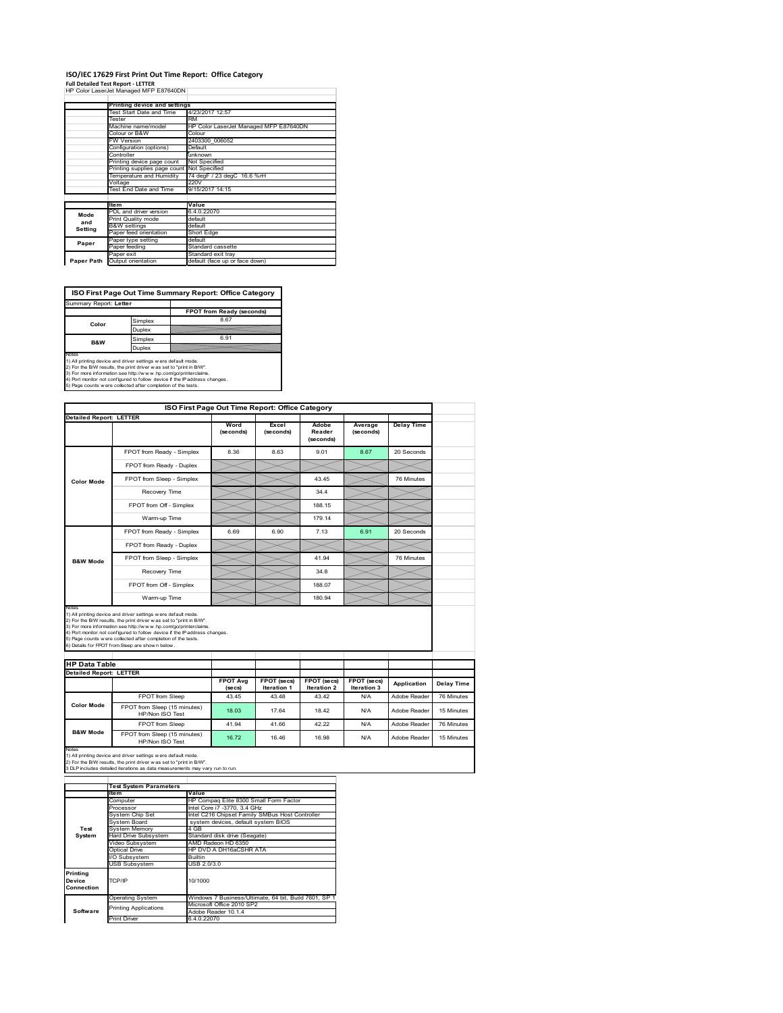### **ISO/IEC 17629 First Print Out Time Report: Office Category Full Detailed Test Report ‐ LETTER** HP Color LaserJet Managed MFP E87640DN

|            | Printing device and settings  |                                        |
|------------|-------------------------------|----------------------------------------|
|            | Test Start Date and Time      | 4/23/2017 12:57                        |
|            | Tester                        | RM                                     |
|            | Machine name/model            | HP Color LaserJet Managed MFP E87640DN |
|            | Colour or B&W                 | Colour                                 |
|            | FW Version                    | 2403300 006052                         |
|            | Configuration (options)       | Default                                |
|            | Controller                    | unknown                                |
|            | Printing device page count    | Not Specified                          |
|            | Printing supplies page count  | Not Specified                          |
|            | Temperature and Humidity      | 74 degF / 23 degC 16.6 %rH             |
|            | Voltage                       | 220V                                   |
|            | <b>Test End Date and Time</b> | 9/15/2017 14:15                        |
|            |                               |                                        |
|            | <b>Item</b>                   | Value                                  |
| Mode       | PDL and driver version        | 6.4.0.22070                            |
| and        | Print Quality mode            | default                                |
| Setting    | <b>B&amp;W</b> settings       | default                                |
|            | Paper feed orientation        | <b>Short Edge</b>                      |
| Paper      | Paper type setting            | default                                |
|            | Paper feeding                 | Standard cassette                      |
|            | Paper exit                    | Standard exit tray                     |
| Paper Path | Output orientation            | default (face up or face down)         |

**ISO First Page Out Time Summary Report: Office Category**

| Summary Report: Letter |         |                           |
|------------------------|---------|---------------------------|
|                        |         | FPOT from Ready (seconds) |
| Color                  | Simplex | 8.67                      |
|                        | Duplex  |                           |
| B&W                    | Simplex | 6.91                      |
|                        | Duplex  |                           |
| Notes                  |         |                           |

Notes<br>1) All printing device and driver settings were default mode.<br>2) For the BW results, the print driver was set to "print in BW".<br>3) For more information see http://www.hp.com/golprinterclaims.<br>4) Port montor not confi

|                                                                 |                                                                                                                                                                                                                                                                                                                                                                                                             | ISO First Page Out Time Report: Office Category |                    |                              |                      |                   |
|-----------------------------------------------------------------|-------------------------------------------------------------------------------------------------------------------------------------------------------------------------------------------------------------------------------------------------------------------------------------------------------------------------------------------------------------------------------------------------------------|-------------------------------------------------|--------------------|------------------------------|----------------------|-------------------|
| <b>Detailed Report: LETTER</b>                                  |                                                                                                                                                                                                                                                                                                                                                                                                             |                                                 |                    |                              |                      |                   |
|                                                                 |                                                                                                                                                                                                                                                                                                                                                                                                             | Word<br>(seconds)                               | Excel<br>(seconds) | Adobe<br>Reader<br>(seconds) | Average<br>(seconds) | <b>Delay Time</b> |
|                                                                 | FPOT from Ready - Simplex                                                                                                                                                                                                                                                                                                                                                                                   | 8.36                                            | 8.63               | 9.01                         | 8.67                 | 20 Seconds        |
|                                                                 | FPOT from Ready - Duplex                                                                                                                                                                                                                                                                                                                                                                                    |                                                 |                    |                              |                      |                   |
| <b>Color Mode</b>                                               | FPOT from Sleep - Simplex                                                                                                                                                                                                                                                                                                                                                                                   |                                                 |                    | 43 45                        |                      | 76 Minutes        |
|                                                                 | Recovery Time                                                                                                                                                                                                                                                                                                                                                                                               |                                                 |                    | 34.4                         |                      |                   |
|                                                                 | FPOT from Off - Simplex                                                                                                                                                                                                                                                                                                                                                                                     |                                                 |                    | 188.15                       |                      |                   |
|                                                                 | Warm-up Time                                                                                                                                                                                                                                                                                                                                                                                                |                                                 |                    | 179.14                       |                      |                   |
|                                                                 | FPOT from Ready - Simplex                                                                                                                                                                                                                                                                                                                                                                                   | 6.69                                            | 6.90               | 7.13                         | 6.91                 | 20 Seconds        |
|                                                                 | FPOT from Ready - Duplex                                                                                                                                                                                                                                                                                                                                                                                    |                                                 |                    |                              |                      |                   |
| <b>B&amp;W Mode</b>                                             | FPOT from Sleep - Simplex                                                                                                                                                                                                                                                                                                                                                                                   |                                                 |                    | 41.94                        |                      | 76 Minutes        |
|                                                                 | Recovery Time                                                                                                                                                                                                                                                                                                                                                                                               |                                                 |                    | 34.8                         |                      |                   |
|                                                                 |                                                                                                                                                                                                                                                                                                                                                                                                             |                                                 |                    |                              |                      |                   |
|                                                                 | FPOT from Off - Simplex                                                                                                                                                                                                                                                                                                                                                                                     |                                                 |                    | 188.07                       |                      |                   |
|                                                                 | Warm-up Time                                                                                                                                                                                                                                                                                                                                                                                                |                                                 |                    | 180.94                       |                      |                   |
| Notes<br><b>HP Data Table</b><br><b>Detailed Report: LETTER</b> | 1) All printing device and driver settings w ere default mode.<br>2) For the B/W results, the print driver was set to "print in B/W".<br>3) For more information see http://www.hp.com/go/printerclaims.<br>4) Port monitor not configured to follow device if the IP address changes.<br>5) Page counts w ere collected after completion of the tests.<br>6) Details for FPOT from Sleep are show n below. | <b>FPOT Ava</b>                                 | FPOT (secs)        | FPOT (secs)                  | FPOT (secs)          |                   |
|                                                                 |                                                                                                                                                                                                                                                                                                                                                                                                             | (se cs)                                         | Iteration 1        | Iteration 2                  | Iteration 3          | Application       |
| <b>Color Mode</b>                                               | FPOT from Sleep                                                                                                                                                                                                                                                                                                                                                                                             | 43.45                                           | 43.48              | 43.42                        | N/A                  | Adobe Reader      |
|                                                                 | FPOT from Sleep (15 minutes)<br>HP/Non ISO Test                                                                                                                                                                                                                                                                                                                                                             | 18.03                                           | 17.64              | 18.42                        | N/A                  | Adobe Reader      |
| <b>B&amp;W Mode</b>                                             | FPOT from Sleep<br>FPOT from Sleep (15 minutes)                                                                                                                                                                                                                                                                                                                                                             | 41.94                                           | 41.66              | 42.22                        | N/A                  | Adobe Reader      |

|                                  | <b>Test System Parameters</b> |                                                       |  |  |
|----------------------------------|-------------------------------|-------------------------------------------------------|--|--|
|                                  | Value<br>Item                 |                                                       |  |  |
|                                  | Computer                      | HP Compag Elite 8300 Small Form Factor                |  |  |
|                                  | Processor                     | Intel Core i7 -3770, 3.4 GHz                          |  |  |
|                                  | System Chip Set               | Intel C216 Chipset Family SMBus Host Controller       |  |  |
|                                  | System Board                  | system devices, default system BIOS                   |  |  |
| Test                             | <b>System Memory</b>          | 4 GB                                                  |  |  |
| System                           | Hard Drive Subsystem          | Standard disk drive (Seagate)                         |  |  |
|                                  | Video Subsystem               | AMD Radeon HD 6350                                    |  |  |
|                                  | Optical Drive                 | HP DVD A DH16aCSHR ATA                                |  |  |
|                                  | I/O Subsystem                 | <b>Builtin</b>                                        |  |  |
|                                  | <b>USB Subsystem</b>          | USB 2.0/3.0                                           |  |  |
| Printing<br>Device<br>Connection | 10/1000<br>TCP/IP             |                                                       |  |  |
|                                  | <b>Operating System</b>       | Windows 7 Business/Ultimate, 64 bit, Build 7601, SP 1 |  |  |
|                                  | <b>Printing Applications</b>  | Microsoft Office 2010 SP2                             |  |  |
| Software                         |                               | Adobe Reader 10.1.4                                   |  |  |
|                                  | <b>Print Driver</b>           | 6.4.0.22070                                           |  |  |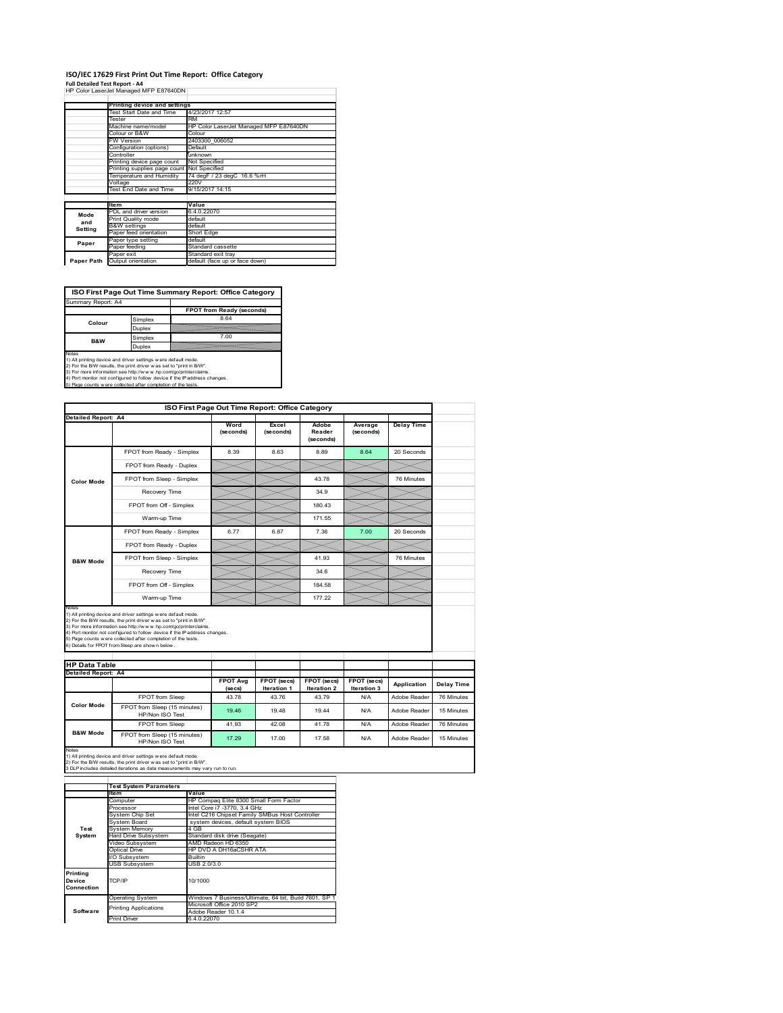### **ISO/IEC 17629 First Print Out Time Report: Office Category**

**Full Detailed Test Report ‐ A4** HP Color LaserJet Managed MFP E87640DN

|            | Printing device and settings |                                        |
|------------|------------------------------|----------------------------------------|
|            | Test Start Date and Time     | 4/23/2017 12:57                        |
|            | Tester                       | <b>RM</b>                              |
|            | Machine name/model           | HP Color LaserJet Managed MFP E87640DN |
|            | Colour or B&W                | Colour                                 |
|            | <b>FW Version</b>            | 2403300 006052                         |
|            | Configuration (options)      | Default                                |
|            | Controller                   | unknown                                |
|            | Printing device page count   | Not Specified                          |
|            | Printing supplies page count | Not Specified                          |
|            | Temperature and Humidity     | 74 degF / 23 degC 16.6 %rH             |
|            | Voltage                      | 220V                                   |
|            | Test End Date and Time       | 9/15/2017 14:15                        |
|            |                              |                                        |
|            | <b>Item</b>                  | Value                                  |
| Mode       | PDL and driver version       | 6.4.0.22070                            |
| and        | Print Quality mode           | default                                |
| Setting    | <b>B&amp;W</b> settings      | default                                |
|            | Paper feed orientation       | Short Edge                             |
| Paper      | Paper type setting           | default                                |
|            | Paper feeding                | Standard cassette                      |
|            | Paper exit                   | Standard exit tray                     |
| Paper Path | Output orientation           | default (face up or face down)         |

**ISO First Page Out Time Summary Report: Office Category**

| Summary Report: A4 |         |                           |
|--------------------|---------|---------------------------|
|                    |         | FPOT from Ready (seconds) |
| Colour             | Simplex | 8.64                      |
|                    | Duplex  |                           |
| <b>B&amp;W</b>     | Simplex | 7.00                      |
|                    | Duplex  |                           |
|                    |         |                           |

Notes<br>1) All printing device and driver settings were default mode.<br>2) For the BAV results, the print driver was set to "print in BAV".<br>3) For more information see http://www.hp.com/golprinterclaims.<br>4) Port monitor not co

|                      |                                                                                                                                                                                                                                                                                                                                                                                                             | ISO First Page Out Time Report: Office Category |                                   |                              |                            |                   |            |
|----------------------|-------------------------------------------------------------------------------------------------------------------------------------------------------------------------------------------------------------------------------------------------------------------------------------------------------------------------------------------------------------------------------------------------------------|-------------------------------------------------|-----------------------------------|------------------------------|----------------------------|-------------------|------------|
| Detailed Report: A4  |                                                                                                                                                                                                                                                                                                                                                                                                             |                                                 |                                   |                              |                            |                   |            |
|                      |                                                                                                                                                                                                                                                                                                                                                                                                             | Word<br>(seconds)                               | Excel<br>(seconds)                | Adobe<br>Reader<br>(seconds) | Average<br>(seconds)       | <b>Delay Time</b> |            |
|                      | FPOT from Ready - Simplex                                                                                                                                                                                                                                                                                                                                                                                   | 8.39                                            | 8.63                              | 8.89                         | 8.64                       | 20 Seconds        |            |
|                      | FPOT from Ready - Duplex                                                                                                                                                                                                                                                                                                                                                                                    |                                                 |                                   |                              |                            |                   |            |
| <b>Color Mode</b>    | FPOT from Sleep - Simplex                                                                                                                                                                                                                                                                                                                                                                                   |                                                 |                                   | 43.78                        |                            | 76 Minutes        |            |
|                      | Recovery Time                                                                                                                                                                                                                                                                                                                                                                                               |                                                 |                                   | 34.9                         |                            |                   |            |
|                      | FPOT from Off - Simplex                                                                                                                                                                                                                                                                                                                                                                                     |                                                 |                                   | 180.43                       |                            |                   |            |
|                      | Warm-up Time                                                                                                                                                                                                                                                                                                                                                                                                |                                                 |                                   | 171.55                       |                            |                   |            |
|                      | FPOT from Ready - Simplex                                                                                                                                                                                                                                                                                                                                                                                   | 6.77                                            | 6.87                              | 7.36                         | 7.00                       | 20 Seconds        |            |
|                      | FPOT from Ready - Duplex                                                                                                                                                                                                                                                                                                                                                                                    |                                                 |                                   |                              |                            |                   |            |
| <b>B&amp;W Mode</b>  | FPOT from Sleep - Simplex                                                                                                                                                                                                                                                                                                                                                                                   |                                                 |                                   | 41.93                        |                            | 76 Minutes        |            |
|                      | Recovery Time                                                                                                                                                                                                                                                                                                                                                                                               |                                                 |                                   | 34.6                         |                            |                   |            |
|                      |                                                                                                                                                                                                                                                                                                                                                                                                             |                                                 |                                   |                              |                            |                   |            |
|                      | FPOT from Off - Simplex                                                                                                                                                                                                                                                                                                                                                                                     |                                                 |                                   | 184.58                       |                            |                   |            |
| Notes                | Warm-up Time                                                                                                                                                                                                                                                                                                                                                                                                |                                                 |                                   | 177.22                       |                            |                   |            |
|                      | 1) All printing device and driver settings w ere default mode.<br>2) For the B/W results, the print driver was set to "print in B/W".<br>3) For more information see http://www.hp.com/go/printerclaims.<br>4) Port monitor not configured to follow device if the IP address changes.<br>5) Page counts w ere collected after completion of the tests.<br>6) Details for FPOT from Sleep are show n below. |                                                 |                                   |                              |                            |                   |            |
| <b>HP Data Table</b> |                                                                                                                                                                                                                                                                                                                                                                                                             |                                                 |                                   |                              |                            |                   |            |
| Detailed Report: A4  |                                                                                                                                                                                                                                                                                                                                                                                                             | <b>FPOT Ava</b><br>(se cs)                      | <b>FPOT</b> (secs)<br>Iteration 1 | FPOT (secs)<br>Iteration 2   | FPOT (secs)<br>Iteration 3 | Application       | Delay Time |
|                      | FPOT from Sleep                                                                                                                                                                                                                                                                                                                                                                                             | 43.78                                           | 43.76                             | 43.79                        | N/A                        | Adobe Reader      | 76 Minutes |
| <b>Color Mode</b>    | FPOT from Sleep (15 minutes)<br>HP/Non ISO Test                                                                                                                                                                                                                                                                                                                                                             | 19.46                                           | 19.48                             | 19.44                        | N/A                        | Adobe Reader      | 15 Minutes |
| <b>B&amp;W Mode</b>  | FPOT from Sleep                                                                                                                                                                                                                                                                                                                                                                                             | 41.93                                           | 42.08                             | 41.78                        | N/A                        | Adobe Reader      | 76 Minutes |

1) All printing device and driver settings w ere default mode.<br>2) For the B/W results, the print driver w as set to "print in B/W".<br>3 DLP includes detailed iterations as data measurements may vary run to run.

|                    | <b>Test System Parameters</b>         |                                                       |  |  |  |
|--------------------|---------------------------------------|-------------------------------------------------------|--|--|--|
|                    | Item                                  | Value                                                 |  |  |  |
|                    | Computer                              | HP Compaq Elite 8300 Small Form Factor                |  |  |  |
|                    | Processor                             | Intel Core i7 -3770, 3.4 GHz                          |  |  |  |
|                    | System Chip Set                       | Intel C216 Chipset Family SMBus Host Controller       |  |  |  |
|                    | System Board                          | system devices, default system BIOS                   |  |  |  |
| Test               | <b>System Memory</b>                  | 4 GB                                                  |  |  |  |
| System             | Hard Drive Subsystem                  | Standard disk drive (Seagate)                         |  |  |  |
|                    | AMD Radeon HD 6350<br>Video Subsystem |                                                       |  |  |  |
|                    | Optical Drive                         | HP DVD A DH16aCSHR ATA                                |  |  |  |
|                    | I/O Subsystem                         | <b>Builtin</b>                                        |  |  |  |
|                    | <b>USB Subsystem</b>                  | USB 2.0/3.0                                           |  |  |  |
| Printing<br>Device | TCP/IP                                | 10/1000                                               |  |  |  |
| Connection         |                                       |                                                       |  |  |  |
|                    | <b>Operating System</b>               | Windows 7 Business/Ultimate, 64 bit, Build 7601, SP 1 |  |  |  |
|                    | <b>Printing Applications</b>          | Microsoft Office 2010 SP2                             |  |  |  |
| Software           |                                       | Adobe Reader 10.1.4                                   |  |  |  |
|                    | <b>Print Driver</b>                   | 6.4.0.22070                                           |  |  |  |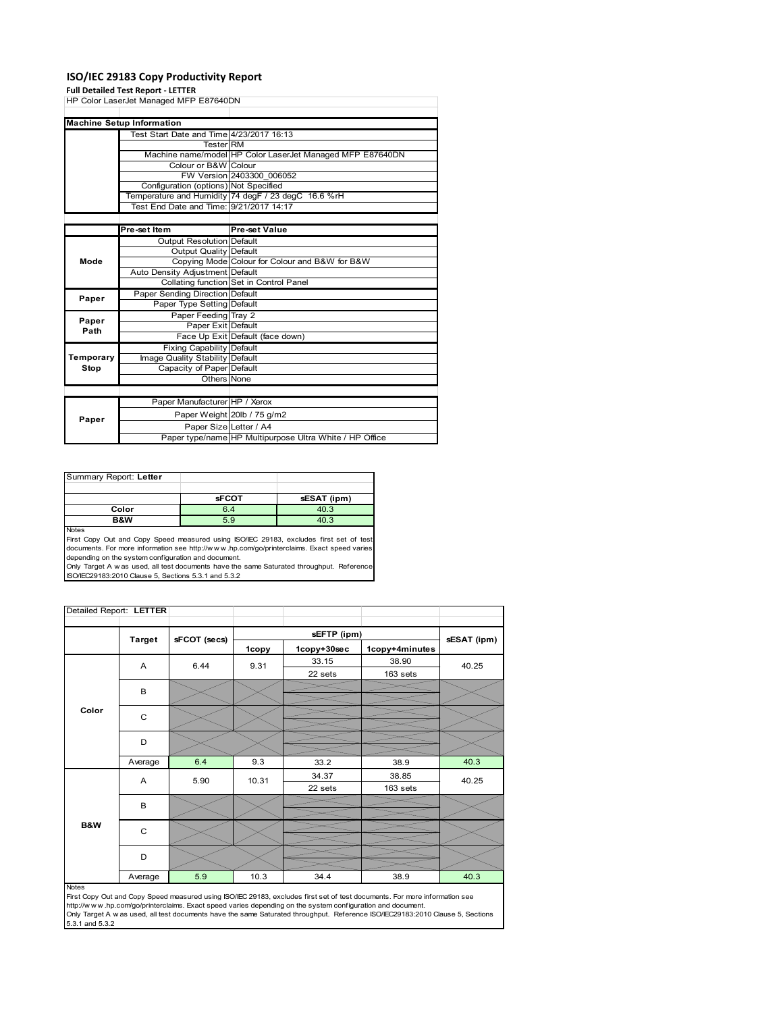### **ISO/IEC 29183 Copy Productivity Report**

#### **Full Detailed Test Report ‐ LETTER**

| HP Color LaserJet Managed MFP E87640DN |                                          |                                                           |  |
|----------------------------------------|------------------------------------------|-----------------------------------------------------------|--|
|                                        |                                          |                                                           |  |
|                                        | <b>Machine Setup Information</b>         |                                                           |  |
|                                        | Test Start Date and Time 4/23/2017 16:13 |                                                           |  |
|                                        | <b>Tester</b> RM                         |                                                           |  |
|                                        |                                          | Machine name/model HP Color LaserJet Managed MFP E87640DN |  |
|                                        | Colour or B&W Colour                     |                                                           |  |
|                                        |                                          | FW Version 2403300 006052                                 |  |
|                                        | Configuration (options) Not Specified    |                                                           |  |
|                                        |                                          | Temperature and Humidity 74 degF / 23 degC 16.6 %rH       |  |
|                                        | Test End Date and Time: 9/21/2017 14:17  |                                                           |  |
|                                        |                                          |                                                           |  |
|                                        | Pre-set Item                             | Pre-set Value                                             |  |
|                                        | <b>Output Resolution Default</b>         |                                                           |  |
|                                        | Output Quality Default                   |                                                           |  |
| Mode                                   |                                          | Copying Mode Colour for Colour and B&W for B&W            |  |
|                                        | Auto Density Adjustment Default          |                                                           |  |
|                                        |                                          | Collating function Set in Control Panel                   |  |
| Paper                                  | Paper Sending Direction Default          |                                                           |  |
|                                        | Paper Type Setting Default               |                                                           |  |
| Paper                                  | Paper Feeding Tray 2                     |                                                           |  |
| Path                                   | Paper Exit Default                       |                                                           |  |
|                                        |                                          | Face Up Exit Default (face down)                          |  |
|                                        | <b>Fixing Capability Default</b>         |                                                           |  |
| Temporary                              | Image Quality Stability Default          |                                                           |  |
| Stop                                   | Capacity of Paper Default                |                                                           |  |
|                                        | Others None                              |                                                           |  |
|                                        |                                          |                                                           |  |
|                                        | Paper Manufacturer HP / Xerox            |                                                           |  |
|                                        |                                          | Paper Weight 20lb / 75 g/m2                               |  |
| Paper                                  | Paper Size Letter / A4                   |                                                           |  |
|                                        |                                          | Paper type/name HP Multipurpose Ultra White / HP Office   |  |

| Summary Report: Letter |              |             |
|------------------------|--------------|-------------|
|                        |              |             |
|                        | <b>sFCOT</b> | sESAT (ipm) |
| Color                  | 6.4          | 40.3        |
| B&W                    | 5.9          | 40.3        |
| .                      |              |             |

Notes<br>First Copy Out and Copy Speed measured using ISO/IEC 29183, excludes first set of test<br>documents. For more information see http://www..hp.com/go/printerclaims. Exact speed varies

depending on the system configuration and document.<br>Only Target A w as used, all test documents have the same Saturated throughput. Reference<br>ISO/IEC29183:2010 Clause 5, Sections 5.3.1 and 5.3.2

| Detailed Report: LETTER |               |              |       |             |                |             |
|-------------------------|---------------|--------------|-------|-------------|----------------|-------------|
|                         |               |              |       | sEFTP (ipm) |                |             |
|                         | <b>Target</b> | sFCOT (secs) | 1copy | 1copy+30sec | 1copy+4minutes | sESAT (ipm) |
|                         | A             | 6.44         | 9.31  | 33.15       | 38.90          | 40.25       |
|                         |               |              |       | 22 sets     | 163 sets       |             |
|                         | В             |              |       |             |                |             |
|                         |               |              |       |             |                |             |
| Color                   | C             |              |       |             |                |             |
|                         |               |              |       |             |                |             |
|                         | D             |              |       |             |                |             |
|                         |               |              |       |             |                |             |
|                         | Average       | 6.4          | 9.3   | 33.2        | 38.9           | 40.3        |
|                         | Α             | 5.90         | 10.31 | 34.37       | 38.85          | 40.25       |
|                         |               |              |       | 22 sets     | 163 sets       |             |
|                         | B             |              |       |             |                |             |
|                         |               |              |       |             |                |             |
| B&W                     | $\mathsf{C}$  |              |       |             |                |             |
|                         |               |              |       |             |                |             |
|                         | D             |              |       |             |                |             |
|                         |               |              |       |             |                |             |
|                         | Average       | 5.9          | 10.3  | 34.4        | 38.9           | 40.3        |

#### Notes

First Copy Out and Copy Speed measured using ISO/IEC 29183, excludes first set of test documents. For more information see<br>http://w w w.hp.com/go/printerclaims. Exact speed varies depending on the system configuration and 5.3.1 and 5.3.2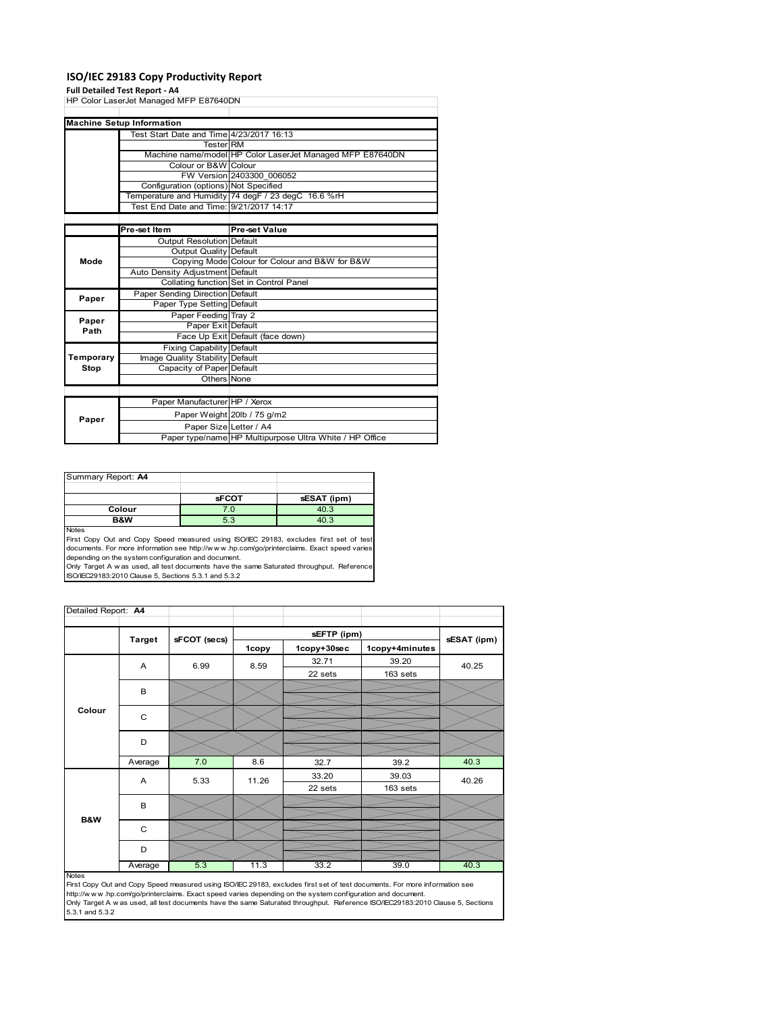### **ISO/IEC 29183 Copy Productivity Report**

### **Full Detailed Test Report ‐ A4**

| HP Color LaserJet Managed MFP E87640DN   |                                         |                                                           |  |  |
|------------------------------------------|-----------------------------------------|-----------------------------------------------------------|--|--|
|                                          |                                         |                                                           |  |  |
|                                          |                                         |                                                           |  |  |
|                                          | <b>Machine Setup Information</b>        |                                                           |  |  |
| Test Start Date and Time 4/23/2017 16:13 |                                         |                                                           |  |  |
|                                          | <b>Tester</b> RM                        |                                                           |  |  |
|                                          |                                         | Machine name/model HP Color LaserJet Managed MFP E87640DN |  |  |
|                                          | Colour or B&W Colour                    |                                                           |  |  |
|                                          |                                         | FW Version 2403300 006052                                 |  |  |
|                                          | Configuration (options) Not Specified   |                                                           |  |  |
|                                          |                                         | Temperature and Humidity 74 degF / 23 degC 16.6 %rH       |  |  |
|                                          | Test End Date and Time: 9/21/2017 14:17 |                                                           |  |  |
|                                          |                                         |                                                           |  |  |
|                                          | Pre-set Item                            | Pre-set Value                                             |  |  |
| Mode                                     | Output Resolution Default               |                                                           |  |  |
|                                          | Output Quality Default                  |                                                           |  |  |
|                                          |                                         | Copying Mode Colour for Colour and B&W for B&W            |  |  |
|                                          | Auto Density Adjustment Default         |                                                           |  |  |
|                                          |                                         | Collating function Set in Control Panel                   |  |  |
| Paper                                    | Paper Sending Direction Default         |                                                           |  |  |
|                                          | Paper Type Setting Default              |                                                           |  |  |
| Paper                                    | Paper Feeding Tray 2                    |                                                           |  |  |
| Path                                     | Paper Exit Default                      |                                                           |  |  |
|                                          |                                         | Face Up Exit Default (face down)                          |  |  |
|                                          | <b>Fixing Capability Default</b>        |                                                           |  |  |
| Temporary                                | Image Quality Stability Default         |                                                           |  |  |
| Stop                                     | Capacity of Paper Default               |                                                           |  |  |
|                                          | Others None                             |                                                           |  |  |
|                                          |                                         |                                                           |  |  |
|                                          | Paper Manufacturer HP / Xerox           |                                                           |  |  |
|                                          |                                         | Paper Weight 20lb / 75 g/m2                               |  |  |
| Paper                                    | Paper Size Letter / A4                  |                                                           |  |  |
|                                          |                                         | Paper type/name HP Multipurpose Ultra White / HP Office   |  |  |

| Summary Report: A4 |              |             |
|--------------------|--------------|-------------|
|                    |              |             |
|                    | <b>sFCOT</b> | sESAT (ipm) |
| Colour             | 7.0          | 40.3        |
| B&W                | 5.3          | 40.3        |
| <b>Nickon</b>      |              |             |

Notes<br>First Copy Out and Copy Speed measured using ISO/IEC 29183, excludes first set of test<br>documents. For more information see http://www..hp.com/go/printerclaims. Exact speed varies

depending on the system configuration and document.<br>Only Target A w as used, all test documents have the same Saturated throughput. Reference<br>ISO/IEC29183:2010 Clause 5, Sections 5.3.1 and 5.3.2

| Detailed Report: A4 |               |              |       |             |                |             |
|---------------------|---------------|--------------|-------|-------------|----------------|-------------|
|                     | <b>Target</b> | sFCOT (secs) |       | sEFTP (ipm) |                |             |
|                     |               |              | 1copy | 1copy+30sec | 1copy+4minutes | sESAT (ipm) |
|                     | A             | 6.99         | 8.59  | 32.71       | 39.20          | 40.25       |
|                     |               |              |       | 22 sets     | 163 sets       |             |
| Colour              | B             |              |       |             |                |             |
|                     | C             |              |       |             |                |             |
|                     | D             |              |       |             |                |             |
|                     | Average       | 7.0          | 8.6   | 32.7        | 39.2           | 40.3        |
|                     | Α             | 5.33         | 11.26 | 33.20       | 39.03          | 40.26       |
|                     |               |              |       | 22 sets     | 163 sets       |             |
|                     | B             |              |       |             |                |             |
| <b>B&amp;W</b>      |               |              |       |             |                |             |
|                     | C             |              |       |             |                |             |
|                     | D             |              |       |             |                |             |
|                     | Average       | 5.3          | 11.3  | 33.2        | 39.0           | 40.3        |

http://w.w.w..hp.com/go/printerclaims. Exact speed varies depending on the system configuration and document.<br>Only Target A w as used, all test documents have the same Saturated throughput. Reference ISO/IEC29183:2010 Cla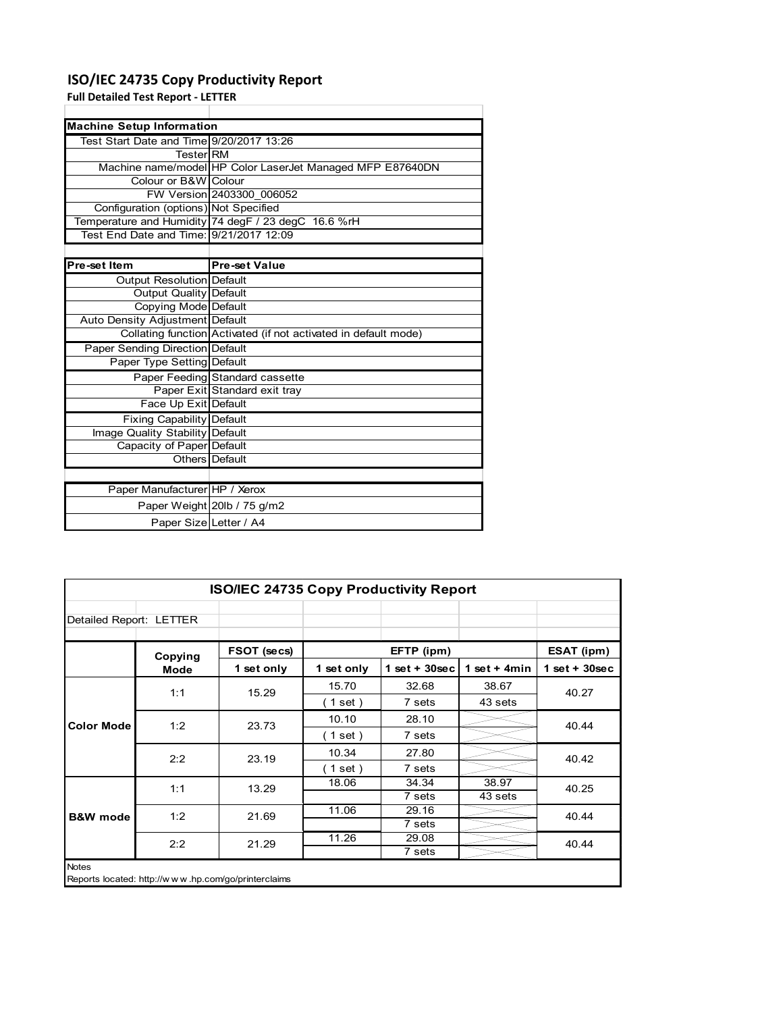### **ISO/IEC 24735 Copy Productivity Report**

**Full Detailed Test Report ‐ LETTER**

| <b>Machine Setup Information</b>         |                                                                 |  |  |  |
|------------------------------------------|-----------------------------------------------------------------|--|--|--|
| Test Start Date and Time 9/20/2017 13:26 |                                                                 |  |  |  |
| <b>Tester</b> RM                         |                                                                 |  |  |  |
|                                          | Machine name/model HP Color LaserJet Managed MFP E87640DN       |  |  |  |
| Colour or B&W Colour                     |                                                                 |  |  |  |
|                                          | FW Version 2403300 006052                                       |  |  |  |
| Configuration (options) Not Specified    |                                                                 |  |  |  |
|                                          | Temperature and Humidity 74 degF / 23 degC 16.6 %rH             |  |  |  |
| Test End Date and Time: 9/21/2017 12:09  |                                                                 |  |  |  |
|                                          |                                                                 |  |  |  |
| Pre-set Item                             | <b>Pre-set Value</b>                                            |  |  |  |
| Output Resolution Default                |                                                                 |  |  |  |
| <b>Output Quality Default</b>            |                                                                 |  |  |  |
| Copying Mode Default                     |                                                                 |  |  |  |
| Auto Density Adjustment Default          |                                                                 |  |  |  |
|                                          | Collating function Activated (if not activated in default mode) |  |  |  |
| Paper Sending Direction Default          |                                                                 |  |  |  |
| Paper Type Setting Default               |                                                                 |  |  |  |
|                                          | Paper Feeding Standard cassette                                 |  |  |  |
|                                          | Paper Exit Standard exit tray                                   |  |  |  |
| Face Up Exit Default                     |                                                                 |  |  |  |
| <b>Fixing Capability Default</b>         |                                                                 |  |  |  |
| Image Quality Stability Default          |                                                                 |  |  |  |
| Capacity of Paper Default                |                                                                 |  |  |  |
|                                          | Others Default                                                  |  |  |  |
|                                          |                                                                 |  |  |  |
| Paper Manufacturer HP / Xerox            |                                                                 |  |  |  |
|                                          | Paper Weight 20lb / 75 g/m2                                     |  |  |  |
| Paper Size Letter / A4                   |                                                                 |  |  |  |

| <b>ISO/IEC 24735 Copy Productivity Report</b> |             |                                                     |            |                  |                |                 |  |  |
|-----------------------------------------------|-------------|-----------------------------------------------------|------------|------------------|----------------|-----------------|--|--|
| Detailed Report: LETTER                       |             |                                                     |            |                  |                |                 |  |  |
|                                               | Copying     | FSOT (secs)                                         |            | EFTP (ipm)       |                | ESAT (ipm)      |  |  |
|                                               | <b>Mode</b> | 1 set only                                          | 1 set only | 1 set + $30$ sec | 1 set + $4min$ | $1$ set + 30sec |  |  |
|                                               | 1:1         | 15.29                                               | 15.70      | 32.68            | 38.67          | 40.27           |  |  |
| <b>Color Mode</b>                             |             |                                                     | (1 set)    | 7 sets           | 43 sets        |                 |  |  |
|                                               | 1:2         | 23.73                                               | 10.10      | 28.10            |                | 40.44           |  |  |
|                                               |             |                                                     | (1 set)    | 7 sets           |                |                 |  |  |
|                                               | 2:2         | 23.19                                               | 10.34      | 27.80            |                | 40.42           |  |  |
|                                               |             |                                                     | (1 set)    | 7 sets           |                |                 |  |  |
|                                               | 1:1         | 13.29                                               | 18.06      | 34.34            | 38.97          | 40.25           |  |  |
|                                               |             |                                                     |            | 7 sets           | 43 sets        |                 |  |  |
| <b>B&amp;W</b> mode                           | 1:2         | 21.69                                               | 11.06      | 29.16            |                | 40.44           |  |  |
|                                               |             |                                                     |            | 7 sets           |                |                 |  |  |
|                                               | 2:2         | 21.29                                               | 11.26      | 29.08            |                | 40.44           |  |  |
|                                               |             |                                                     |            | 7 sets           |                |                 |  |  |
| <b>Notes</b>                                  |             | Reports located: http://www.hp.com/go/printerclaims |            |                  |                |                 |  |  |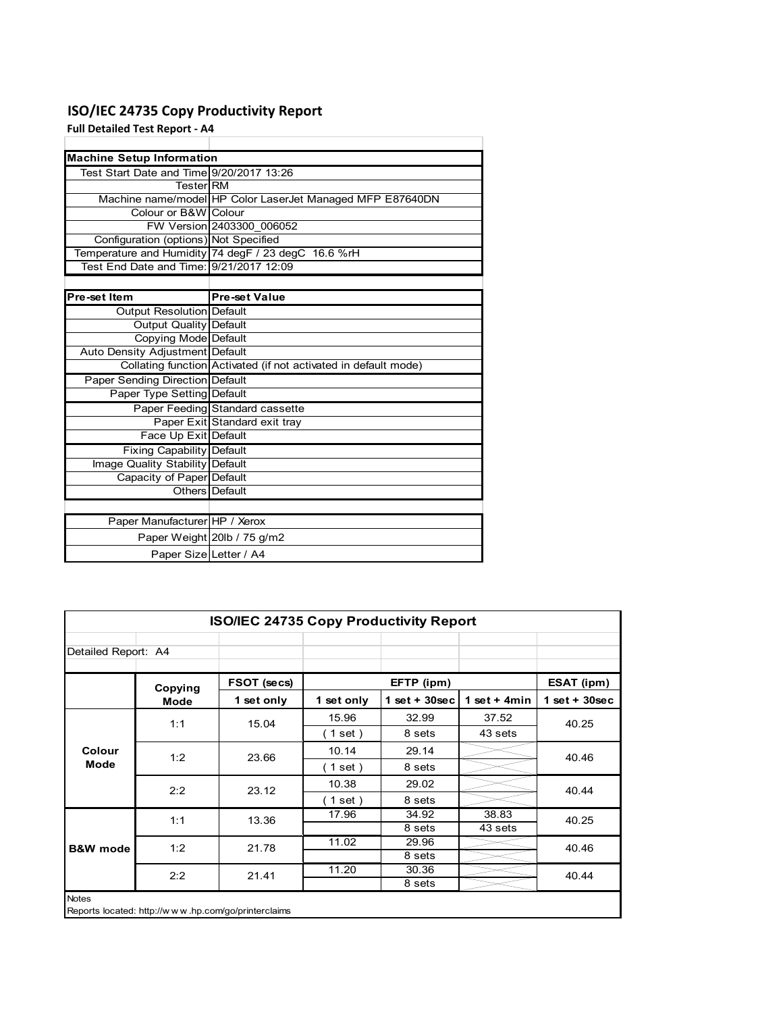### **ISO/IEC 24735 Copy Productivity Report**

**Full Detailed Test Report ‐ A4**

| <b>Machine Setup Information</b>         |                                                                 |
|------------------------------------------|-----------------------------------------------------------------|
| Test Start Date and Time 9/20/2017 13:26 |                                                                 |
| <b>Tester RM</b>                         |                                                                 |
|                                          | Machine name/model HP Color LaserJet Managed MFP E87640DN       |
| Colour or B&W Colour                     |                                                                 |
|                                          | FW Version 2403300 006052                                       |
| Configuration (options) Not Specified    |                                                                 |
|                                          | Temperature and Humidity 74 degF / 23 degC 16.6 %rH             |
| Test End Date and Time: 9/21/2017 12:09  |                                                                 |
|                                          |                                                                 |
| Pre-set Item                             | <b>Pre-set Value</b>                                            |
| Output Resolution Default                |                                                                 |
| <b>Output Quality Default</b>            |                                                                 |
| Copying Mode Default                     |                                                                 |
| Auto Density Adjustment Default          |                                                                 |
|                                          | Collating function Activated (if not activated in default mode) |
| <b>Paper Sending Direction Default</b>   |                                                                 |
| Paper Type Setting Default               |                                                                 |
|                                          | Paper Feeding Standard cassette                                 |
|                                          | Paper Exit Standard exit tray                                   |
| Face Up Exit Default                     |                                                                 |
| <b>Fixing Capability Default</b>         |                                                                 |
| Image Quality Stability Default          |                                                                 |
| Capacity of Paper Default                |                                                                 |
|                                          | Others Default                                                  |
|                                          |                                                                 |
| Paper Manufacturer HP / Xerox            |                                                                 |
|                                          | Paper Weight 20lb / 75 g/m2                                     |
| Paper Size Letter / A4                   |                                                                 |

| <b>ISO/IEC 24735 Copy Productivity Report</b> |         |                                                     |            |                 |                 |                 |  |  |
|-----------------------------------------------|---------|-----------------------------------------------------|------------|-----------------|-----------------|-----------------|--|--|
| Detailed Report: A4                           |         |                                                     |            |                 |                 |                 |  |  |
|                                               | Copying | FSOT (secs)                                         |            | EFTP (ipm)      |                 | ESAT (ipm)      |  |  |
|                                               | Mode    | 1 set only                                          | 1 set only | $1$ set + 30sec | 1 set + 4 $min$ | $1$ set + 30sec |  |  |
|                                               | 1:1     | 15.04                                               | 15.96      | 32.99           | 37.52           | 40.25           |  |  |
|                                               |         |                                                     | (1 set)    | 8 sets          | 43 sets         |                 |  |  |
| Colour                                        | 1:2     | 23.66                                               | 10.14      | 29.14           |                 | 40.46           |  |  |
| Mode                                          |         |                                                     | (1 set)    | 8 sets          |                 |                 |  |  |
|                                               | 2:2     | 23.12                                               | 10.38      | 29.02           |                 | 40.44           |  |  |
|                                               |         |                                                     | (1 set)    | 8 sets          |                 |                 |  |  |
|                                               | 1:1     | 13.36                                               | 17.96      | 34.92           | 38.83           | 40.25           |  |  |
|                                               |         |                                                     |            | 8 sets          | 43 sets         |                 |  |  |
| <b>B&amp;W</b> mode                           | 1:2     | 21.78                                               | 11.02      | 29.96           |                 | 40.46           |  |  |
|                                               |         |                                                     |            | 8 sets          |                 |                 |  |  |
|                                               | 2:2     | 21.41                                               | 11.20      | 30.36           |                 | 40.44           |  |  |
|                                               |         |                                                     |            | 8 sets          |                 |                 |  |  |
| <b>Notes</b>                                  |         | Reports located: http://www.hp.com/go/printerclaims |            |                 |                 |                 |  |  |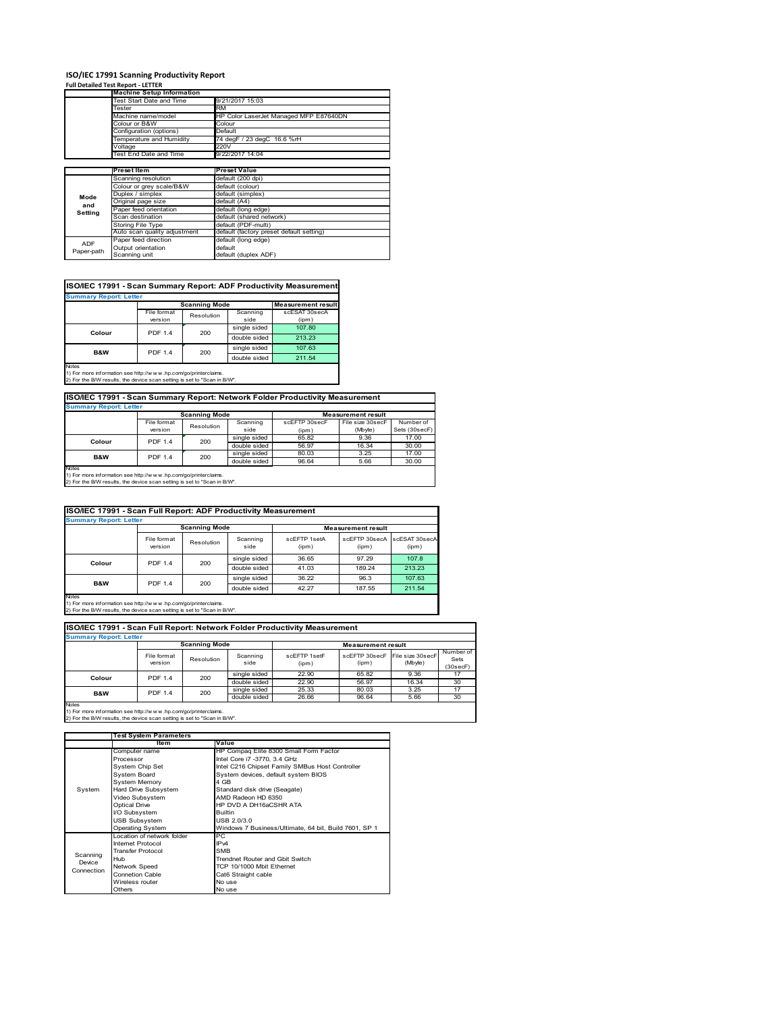# **ISO/IEC 17991 Scanning Productivity Report Full Detailed Test Report ‐ LETTER Machine Setup Information**

|            | <b>Machine Setup Information</b> |                                          |  |  |  |
|------------|----------------------------------|------------------------------------------|--|--|--|
|            | Test Start Date and Time         | 9/21/2017 15:03                          |  |  |  |
|            | Tester                           | <b>RM</b>                                |  |  |  |
|            | Machine name/model               | HP Color LaserJet Managed MFP E87640DN   |  |  |  |
|            | Colour or B&W                    | Colour                                   |  |  |  |
|            | Configuration (options)          | Default                                  |  |  |  |
|            | Temperature and Humidity         | 74 degF / 23 degC 16.6 %rH               |  |  |  |
|            | Voltage                          | 220V                                     |  |  |  |
|            | Test End Date and Time           | 9/22/2017 14:04                          |  |  |  |
|            |                                  |                                          |  |  |  |
|            | Preset Item                      | <b>Preset Value</b>                      |  |  |  |
|            | Scanning resolution              | default (200 dpi)                        |  |  |  |
|            | Colour or grey scale/B&W         | default (colour)                         |  |  |  |
| Mode       | Duplex / simplex                 | default (simplex)                        |  |  |  |
|            | Original page size               | default (A4)                             |  |  |  |
| and        | Paper feed orientation           | default (long edge)                      |  |  |  |
| Setting    | Scan destination                 | default (shared network)                 |  |  |  |
|            | <b>Storing File Type</b>         | default (PDF-multi)                      |  |  |  |
|            | Auto scan quality adjustment     | default (factory preset default setting) |  |  |  |
| <b>ADF</b> | Paper feed direction             | default (long edge)                      |  |  |  |
|            | Output orientation               | default                                  |  |  |  |
| Paper-path | Scanning unit                    | default (duplex ADF)                     |  |  |  |

| ISO/IEC 17991 - Scan Summary Report: ADF Productivity Measurement |                |                      |              |                           |  |  |  |
|-------------------------------------------------------------------|----------------|----------------------|--------------|---------------------------|--|--|--|
| <b>Summary Report: Letter</b>                                     |                |                      |              |                           |  |  |  |
|                                                                   |                | <b>Scanning Mode</b> |              | <b>Measurement result</b> |  |  |  |
|                                                                   | File format    | Resolution           | Scanning     | scESAT 30secA             |  |  |  |
|                                                                   | version        |                      | side         | (ipm)                     |  |  |  |
| Colour                                                            | <b>PDF 1.4</b> | 200                  | single sided | 107.80                    |  |  |  |
|                                                                   |                |                      | double sided | 213.23                    |  |  |  |
| <b>B&amp;W</b>                                                    | <b>PDF 1.4</b> | 200                  | single sided | 107.63                    |  |  |  |
|                                                                   |                |                      | double sided | 211.54                    |  |  |  |
| <b>Notes</b>                                                      |                |                      |              |                           |  |  |  |

Notes 1) For more information see http://w w w .hp.com/go/printerclaims. 2) For the B/W results, the device scan setting is set to "Scan in B/W".

**ISO/IEC 17991 - Scan Summary Report: Network Folder Productivity Measurement**

| <b>Summary Report: Letter</b> |                      |            |              |                           |                  |               |  |
|-------------------------------|----------------------|------------|--------------|---------------------------|------------------|---------------|--|
|                               | <b>Scanning Mode</b> |            |              | <b>Measurement result</b> |                  |               |  |
|                               | File format          | Resolution | Scanning     | scEETP 30secE             | File size 30secF | Number of     |  |
|                               | version              |            | side         | (ipm)                     | (Mbyte)          | Sets (30secF) |  |
| Colour                        | <b>PDF 1.4</b>       | 200        | single sided | 65.82                     | 9.36             | 17.00         |  |
|                               |                      |            | double sided | 56.97                     | 16.34            | 30.00         |  |
| <b>B&amp;W</b>                | <b>PDF 1.4</b>       | 200        | single sided | 80.03                     | 3.25             | 17.00         |  |
|                               |                      |            | double sided | 96.64                     | 5.66             | 30.00         |  |
| <b>Notes</b>                  |                      |            |              |                           |                  |               |  |

┓

Notes 1) For more information see http://w w w .hp.com/go/printerclaims. 2) For the B/W results, the device scan setting is set to "Scan in B/W".

| ISO/IEC 17991 - Scan Full Report: ADF Productivity Measurement |                        |              |                  |                       |                           |                        |  |
|----------------------------------------------------------------|------------------------|--------------|------------------|-----------------------|---------------------------|------------------------|--|
| <b>Summary Report: Letter</b>                                  |                        |              |                  |                       |                           |                        |  |
|                                                                | <b>Scanning Mode</b>   |              |                  |                       | <b>Measurement result</b> |                        |  |
|                                                                | File format<br>version | Resolution   | Scanning<br>side | scFFTP 1setA<br>(ipm) | scEETP 30secA<br>(ipm)    | scESAT 30secA<br>(ipm) |  |
|                                                                | <b>PDF 1.4</b>         | 200          | single sided     | 36.65                 | 97.29                     | 107.8                  |  |
| Colour                                                         |                        |              | double sided     | 41.03                 | 189.24                    | 213.23                 |  |
| <b>B&amp;W</b>                                                 | <b>PDF 1.4</b><br>200  | single sided | 36.22            | 96.3                  | 107.63                    |                        |  |
|                                                                |                        |              | double sided     | 42.27                 | 187.55                    | 211.54                 |  |
| <b>Notes</b>                                                   |                        |              |                  |                       |                           |                        |  |

Notes 1) For more information see http://w w w .hp.com/go/printerclaims. 2) For the B/W results, the device scan setting is set to "Scan in B/W".

| ISO/IEC 17991 - Scan Full Report: Network Folder Productivity Measurement |                        |            |                           |                       |                        |                             |                               |  |
|---------------------------------------------------------------------------|------------------------|------------|---------------------------|-----------------------|------------------------|-----------------------------|-------------------------------|--|
| <b>Summary Report: Letter</b>                                             |                        |            |                           |                       |                        |                             |                               |  |
| <b>Scanning Mode</b>                                                      |                        |            | <b>Measurement result</b> |                       |                        |                             |                               |  |
|                                                                           | File format<br>version | Resolution | Scanning<br>side          | scFFTP 1setF<br>(ipm) | scEFTP 30secF<br>(ipm) | File size 30secF<br>(Mbyte) | Number of<br>Sets<br>(30secF) |  |
| Colour                                                                    | <b>PDF 1.4</b>         | 200        | single sided              | 22.90                 | 65.82                  | 9.36                        | 17                            |  |
|                                                                           |                        |            | double sided              | 22.90                 | 56.97                  | 16.34                       | 30                            |  |
| <b>B&amp;W</b>                                                            | <b>PDF 1.4</b>         | 200        | single sided              | 25.33                 | 80.03                  | 3.25                        | 17                            |  |
|                                                                           |                        |            | double sided              | 26.66                 | 96.64                  | 5.66                        | 30                            |  |
| <b>Notes</b>                                                              |                        |            |                           |                       |                        |                             |                               |  |

|            | <b>Test System Parameters</b> |                                                       |  |  |
|------------|-------------------------------|-------------------------------------------------------|--|--|
|            | ltem                          | Value                                                 |  |  |
|            | Computer name                 | HP Compaq Elite 8300 Small Form Factor                |  |  |
|            | Processor                     | Intel Core i7 -3770, 3.4 GHz                          |  |  |
|            | System Chip Set               | Intel C216 Chipset Family SMBus Host Controller       |  |  |
|            | System Board                  | System devices, default system BIOS                   |  |  |
|            | <b>System Memory</b>          | 4 GB                                                  |  |  |
| System     | Hard Drive Subsystem          | Standard disk drive (Seagate)                         |  |  |
|            | Video Subsystem               | AMD Radeon HD 6350                                    |  |  |
|            | Optical Drive                 | HP DVD A DH16aCSHR ATA                                |  |  |
|            | I/O Subsystem                 | <b>Builtin</b>                                        |  |  |
|            | <b>USB Subsystem</b>          | USB 2.0/3.0                                           |  |  |
|            | Operating System              | Windows 7 Business/Ultimate, 64 bit, Build 7601, SP 1 |  |  |
|            | I ocation of network folder   | PC.                                                   |  |  |
|            | Internet Protocol             | IP <sub>v4</sub>                                      |  |  |
| Scanning   | <b>Transfer Protocol</b>      | <b>SMB</b>                                            |  |  |
| Device     | Hub                           | Trendnet Router and Gbit Switch                       |  |  |
| Connection | Network Speed                 | TCP 10/1000 Mbit Ethernet                             |  |  |
|            | <b>Connetion Cable</b>        | Cat6 Straight cable                                   |  |  |
|            | Wireless router               | No use                                                |  |  |
|            | Others                        | No use                                                |  |  |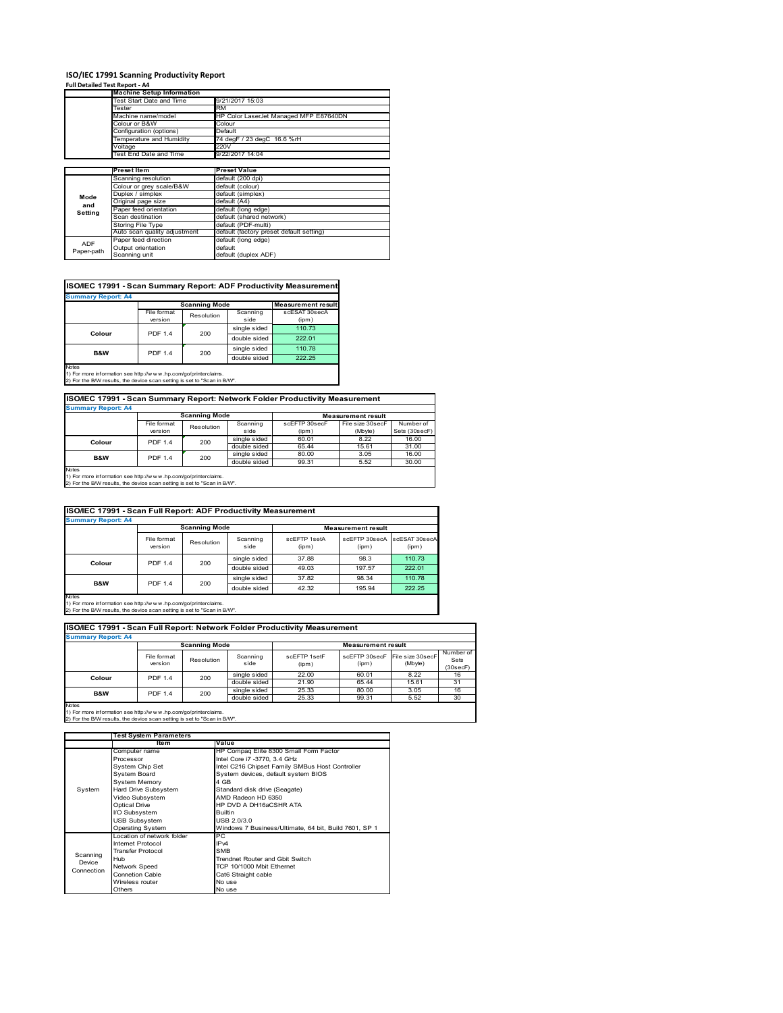# **ISO/IEC 17991 Scanning Productivity Report Full Detailed Test Report ‐ A4 Machine Setup Information**

|            | <b>Machine Setup Information</b> |                                          |
|------------|----------------------------------|------------------------------------------|
|            | Test Start Date and Time         | 9/21/2017 15:03                          |
|            | Tester                           | <b>RM</b>                                |
|            | Machine name/model               | HP Color LaserJet Managed MFP E87640DN   |
|            | Colour or B&W                    | Colour                                   |
|            | Configuration (options)          | Default                                  |
|            | Temperature and Humidity         | 74 degF / 23 degC 16.6 %rH               |
|            | Voltage                          | 220V                                     |
|            | Test End Date and Time           | 9/22/2017 14:04                          |
|            |                                  |                                          |
|            | <b>Preset Item</b>               | <b>Preset Value</b>                      |
|            | Scanning resolution              | default (200 dpi)                        |
|            | Colour or grey scale/B&W         | default (colour)                         |
| Mode       | Duplex / simplex                 | default (simplex)                        |
|            | Original page size               | default (A4)                             |
| and        | Paper feed orientation           | default (long edge)                      |
| Setting    | Scan destination                 | default (shared network)                 |
|            | Storing File Type                | default (PDF-multi)                      |
|            | Auto scan quality adjustment     | default (factory preset default setting) |
|            | Paper feed direction             | default (long edge)                      |
| <b>ADF</b> | Output orientation               | default                                  |
| Paper-path | Scanning unit                    | default (duplex ADF)                     |

| ISO/IEC 17991 - Scan Summary Report: ADF Productivity Measurement |                |                                                   |              |               |  |  |  |  |
|-------------------------------------------------------------------|----------------|---------------------------------------------------|--------------|---------------|--|--|--|--|
| <b>Summary Report: A4</b>                                         |                |                                                   |              |               |  |  |  |  |
|                                                                   |                | <b>Measurement result</b><br><b>Scanning Mode</b> |              |               |  |  |  |  |
|                                                                   | File format    | Resolution                                        | Scanning     | scESAT 30secA |  |  |  |  |
|                                                                   | version        |                                                   | side         | (ipm)         |  |  |  |  |
| Colour                                                            | <b>PDF 1.4</b> | 200                                               | single sided | 110.73        |  |  |  |  |
|                                                                   |                |                                                   | double sided | 222.01        |  |  |  |  |
| <b>B&amp;W</b>                                                    | <b>PDF 1.4</b> | 200                                               | single sided | 110.78        |  |  |  |  |
|                                                                   |                |                                                   | double sided | 222.25        |  |  |  |  |
| <b>Notes</b>                                                      |                |                                                   |              |               |  |  |  |  |

Notes 1) For more information see http://w w w .hp.com/go/printerclaims. 2) For the B/W results, the device scan setting is set to "Scan in B/W".

| ISO/IEC 17991 - Scan Summary Report: Network Folder Productivity Measurement |                |            |              |                           |                  |               |  |  |
|------------------------------------------------------------------------------|----------------|------------|--------------|---------------------------|------------------|---------------|--|--|
| <b>Summary Report: A4</b>                                                    |                |            |              |                           |                  |               |  |  |
| <b>Scanning Mode</b>                                                         |                |            |              | <b>Measurement result</b> |                  |               |  |  |
|                                                                              | File format    | Resolution | Scanning     | scEFTP 30secF             | File size 30secF | Number of     |  |  |
|                                                                              | version        |            | side         | (ipm)                     | (Mbyte)          | Sets (30secF) |  |  |
| Colour                                                                       | <b>PDF 1.4</b> | 200        | single sided | 60.01                     | 8.22             | 16.00         |  |  |
|                                                                              |                |            | double sided | 65.44                     | 15.61            | 31.00         |  |  |
| <b>B&amp;W</b>                                                               | <b>PDF 1.4</b> | 200        | single sided | 80.00                     | 3.05             | 16.00         |  |  |
|                                                                              |                |            | double sided | 99.31                     | 5.52             | 30.00         |  |  |

Notes 1) For more information see http://w w w .hp.com/go/printerclaims. 2) For the B/W results, the device scan setting is set to "Scan in B/W".

| ISO/IEC 17991 - Scan Full Report: ADF Productivity Measurement |                        |                       |                  |                       |                           |                        |  |  |
|----------------------------------------------------------------|------------------------|-----------------------|------------------|-----------------------|---------------------------|------------------------|--|--|
| <b>Summary Report: A4</b>                                      |                        |                       |                  |                       |                           |                        |  |  |
|                                                                |                        | <b>Scanning Mode</b>  |                  |                       | <b>Measurement result</b> |                        |  |  |
|                                                                | File format<br>version | Resolution            | Scanning<br>side | scFFTP 1setA<br>(ipm) | scEETP 30secA<br>(ipm)    | scESAT 30secA<br>(ipm) |  |  |
| Colour                                                         |                        | <b>PDF 1.4</b><br>200 | single sided     | 37.88                 | 98.3                      | 110.73                 |  |  |
|                                                                |                        |                       | double sided     | 49.03                 | 197.57                    | 222.01                 |  |  |
| B&W                                                            | <b>PDF 1.4</b>         |                       | single sided     | 37.82                 | 98.34                     | 110.78                 |  |  |
|                                                                | 200                    |                       | double sided     | 42.32                 | 195.94                    | 222.25                 |  |  |
| <b>Notes</b>                                                   |                        |                       |                  |                       |                           |                        |  |  |

Notes 1) For more information see http://w w w .hp.com/go/printerclaims. 2) For the B/W results, the device scan setting is set to "Scan in B/W".

|                           | ISO/IEC 17991 - Scan Full Report: Network Folder Productivity Measurement |                      |                  |                       |                           |                             |                               |  |
|---------------------------|---------------------------------------------------------------------------|----------------------|------------------|-----------------------|---------------------------|-----------------------------|-------------------------------|--|
| <b>Summary Report: A4</b> |                                                                           |                      |                  |                       |                           |                             |                               |  |
|                           |                                                                           | <b>Scanning Mode</b> |                  |                       | <b>Measurement result</b> |                             |                               |  |
|                           | File format<br>version                                                    | Resolution           | Scanning<br>side | scFFTP 1setF<br>(ipm) | scEFTP 30secF<br>(ipm)    | File size 30secF<br>(Mbyte) | Number of<br>Sets<br>(30secF) |  |
| Colour                    | <b>PDF 1.4</b>                                                            | 200                  | single sided     | 22.00                 | 60.01                     | 8.22                        | 16                            |  |
|                           |                                                                           |                      | double sided     | 21.90                 | 65.44                     | 15.61                       | 31                            |  |
| <b>B&amp;W</b>            | <b>PDF 1.4</b>                                                            | 200                  | single sided     | 25.33                 | 80.00                     | 3.05                        | 16                            |  |
|                           |                                                                           |                      | double sided     | 25.33                 | 99.31                     | 5.52                        | 30                            |  |
| <b>Notes</b>              |                                                                           |                      |                  |                       |                           |                             |                               |  |

 $\overline{\phantom{a}}$ 

|            | <b>Test System Parameters</b> |                                                       |  |  |  |
|------------|-------------------------------|-------------------------------------------------------|--|--|--|
|            | Item                          | Value                                                 |  |  |  |
|            | Computer name                 | HP Compaq Elite 8300 Small Form Factor                |  |  |  |
|            | Processor                     | Intel Core i7 -3770, 3.4 GHz                          |  |  |  |
|            | System Chip Set               | Intel C216 Chipset Family SMBus Host Controller       |  |  |  |
|            | <b>System Board</b>           | System devices, default system BIOS                   |  |  |  |
|            | <b>System Memory</b>          | 4 GB                                                  |  |  |  |
| System     | Hard Drive Subsystem          | Standard disk drive (Seagate)                         |  |  |  |
|            | Video Subsystem               | AMD Radeon HD 6350                                    |  |  |  |
|            | <b>Optical Drive</b>          | HP DVD A DH16aCSHR ATA                                |  |  |  |
|            | I/O Subsystem                 | <b>Builtin</b>                                        |  |  |  |
|            | <b>USB Subsystem</b>          | USB 2.0/3.0                                           |  |  |  |
|            | <b>Operating System</b>       | Windows 7 Business/Ultimate, 64 bit, Build 7601, SP 1 |  |  |  |
|            | I ocation of network folder   | PC.                                                   |  |  |  |
|            | Internet Protocol             | IP <sub>v4</sub>                                      |  |  |  |
| Scanning   | <b>Transfer Protocol</b>      | <b>SMB</b>                                            |  |  |  |
| Device     | Hub                           | Trendnet Router and Gbit Switch                       |  |  |  |
| Connection | Network Speed                 | TCP 10/1000 Mbit Ethernet                             |  |  |  |
|            | Connetion Cable               | Cat6 Straight cable                                   |  |  |  |
|            | Wireless router               | No use                                                |  |  |  |
|            | Others                        | No use                                                |  |  |  |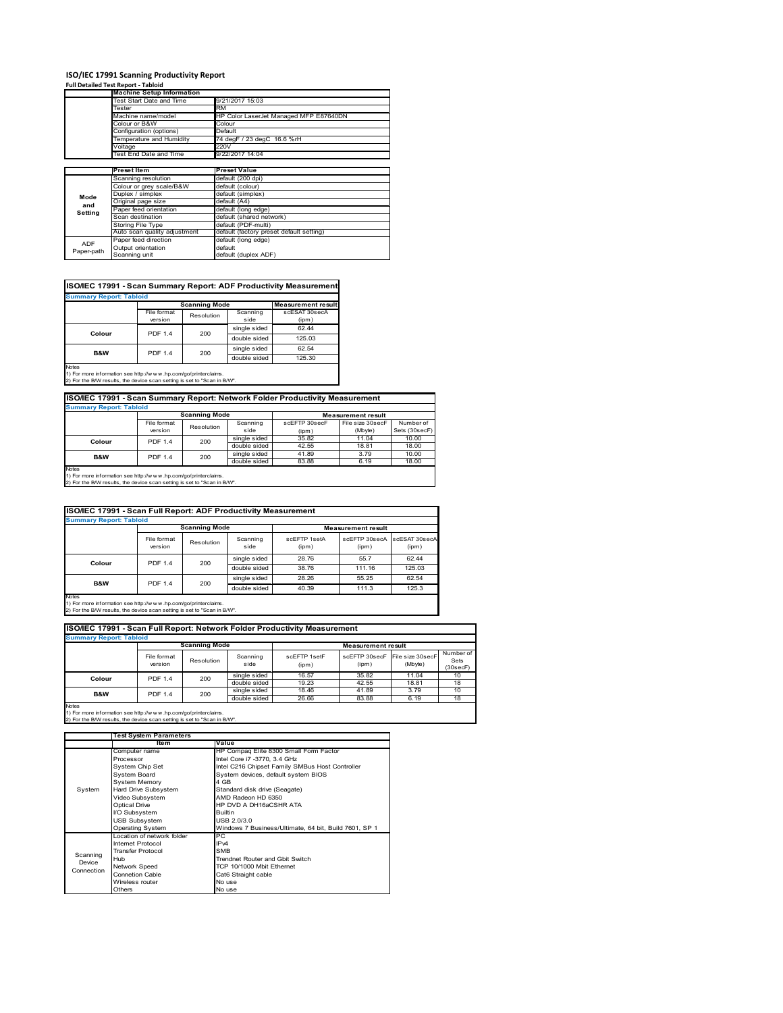# **ISO/IEC 17991 Scanning Productivity Report Full Detailed Test Report ‐ Tabloid Machine Setup Information**

|            | <b>Machine Setup Information</b> |                                          |  |  |  |  |
|------------|----------------------------------|------------------------------------------|--|--|--|--|
|            | Test Start Date and Time         | 9/21/2017 15:03                          |  |  |  |  |
|            | Tester                           | <b>RM</b>                                |  |  |  |  |
|            | Machine name/model               | HP Color LaserJet Managed MFP E87640DN   |  |  |  |  |
|            | Colour or B&W                    | Colour                                   |  |  |  |  |
|            | Configuration (options)          | Default                                  |  |  |  |  |
|            | Temperature and Humidity         | 74 degF / 23 degC 16.6 %rH               |  |  |  |  |
|            | Voltage                          | 220V                                     |  |  |  |  |
|            | Test End Date and Time           | 9/22/2017 14:04                          |  |  |  |  |
|            |                                  |                                          |  |  |  |  |
|            | Preset Item                      | <b>Preset Value</b>                      |  |  |  |  |
|            | Scanning resolution              | default (200 dpi)                        |  |  |  |  |
|            | Colour or grey scale/B&W         | default (colour)                         |  |  |  |  |
| Mode       | Duplex / simplex                 | default (simplex)                        |  |  |  |  |
|            | Original page size               | default (A4)                             |  |  |  |  |
| and        | Paper feed orientation           | default (long edge)                      |  |  |  |  |
| Setting    | Scan destination                 | default (shared network)                 |  |  |  |  |
|            | <b>Storing File Type</b>         | default (PDF-multi)                      |  |  |  |  |
|            | Auto scan quality adjustment     | default (factory preset default setting) |  |  |  |  |
| <b>ADF</b> | Paper feed direction             | default (long edge)                      |  |  |  |  |
|            | Output orientation               | default                                  |  |  |  |  |
| Paper-path | Scanning unit                    | default (duplex ADF)                     |  |  |  |  |

| <b>Summary Report: Tabloid</b> |                        |                      |                  |                           |  |  |  |  |
|--------------------------------|------------------------|----------------------|------------------|---------------------------|--|--|--|--|
|                                |                        | <b>Scanning Mode</b> |                  | <b>Measurement result</b> |  |  |  |  |
|                                | File format<br>version | Resolution           | Scanning<br>side | scESAT 30secA<br>(ipm)    |  |  |  |  |
|                                | <b>PDF 1.4</b>         | 200                  | single sided     | 62.44                     |  |  |  |  |
| Colour                         |                        |                      | double sided     | 125.03                    |  |  |  |  |
| <b>B&amp;W</b>                 | <b>PDF 1.4</b>         | 200                  | single sided     | 62.54                     |  |  |  |  |
|                                |                        |                      | double sided     | 125.30                    |  |  |  |  |

1) For more information see http://w w w .hp.com/go/printerclaims. 2) For the B/W results, the device scan setting is set to "Scan in B/W".

| ISO/IEC 17991 - Scan Summary Report: Network Folder Productivity Measurement |                          |            |              |               |                  |               |  |  |
|------------------------------------------------------------------------------|--------------------------|------------|--------------|---------------|------------------|---------------|--|--|
| <b>Summary Report: Tabloid</b>                                               |                          |            |              |               |                  |               |  |  |
| <b>Scanning Mode</b><br><b>Measurement result</b>                            |                          |            |              |               |                  |               |  |  |
|                                                                              | File format              | Resolution | Scanning     | scEFTP 30secF | File size 30secF | Number of     |  |  |
|                                                                              | version                  |            | side         | (ipm)         | (Mbyte)          | Sets (30secF) |  |  |
|                                                                              | <b>PDF 1.4</b><br>Colour | 200        | single sided | 35.82         | 11.04            | 10.00         |  |  |
|                                                                              |                          |            | double sided | 42.55         | 18.81            | 18.00         |  |  |
| <b>B&amp;W</b>                                                               | <b>PDF 1.4</b>           | 200        | single sided | 41.89         | 3.79             | 10.00         |  |  |
|                                                                              |                          |            | double sided | 83.88         | 6.19             | 18.00         |  |  |
| $1.1 - 1.7$                                                                  |                          |            |              |               |                  |               |  |  |

Notes 1) For more information see http://w w w .hp.com/go/printerclaims. 2) For the B/W results, the device scan setting is set to "Scan in B/W".

| ISO/IEC 17991 - Scan Full Report: ADF Productivity Measurement                                                                                                 |                        |            |                  |                       |                           |                        |  |  |
|----------------------------------------------------------------------------------------------------------------------------------------------------------------|------------------------|------------|------------------|-----------------------|---------------------------|------------------------|--|--|
| <b>Summary Report: Tabloid</b>                                                                                                                                 |                        |            |                  |                       |                           |                        |  |  |
|                                                                                                                                                                | <b>Scanning Mode</b>   |            |                  |                       | <b>Measurement result</b> |                        |  |  |
|                                                                                                                                                                | File format<br>version | Resolution | Scanning<br>side | scEFTP 1setA<br>(ipm) | scEFTP 30secA<br>(ipm)    | scESAT 30secA<br>(ipm) |  |  |
|                                                                                                                                                                | <b>PDF 1.4</b>         | 200        | single sided     | 28.76                 | 55.7                      | 62.44                  |  |  |
| Colour                                                                                                                                                         |                        |            | double sided     | 38.76                 | 111.16                    | 125.03                 |  |  |
| <b>B&amp;W</b>                                                                                                                                                 |                        |            | single sided     | 28.26                 | 55.25                     | 62.54                  |  |  |
|                                                                                                                                                                | <b>PDF 1.4</b>         | 200        | double sided     | 40.39                 | 111.3                     | 125.3                  |  |  |
| <b>Notes</b><br>1) For more information see http://w w w .hp.com/go/printerclaims.<br>2) For the B/W results, the device scan setting is set to "Scan in B/W". |                        |            |                  |                       |                           |                        |  |  |

| ISO/IEC 17991 - Scan Full Report: Network Folder Productivity Measurement<br><b>Summary Report: Tabloid</b> |                        |                      |                  |                       |                           |                             |                               |
|-------------------------------------------------------------------------------------------------------------|------------------------|----------------------|------------------|-----------------------|---------------------------|-----------------------------|-------------------------------|
|                                                                                                             |                        | <b>Scanning Mode</b> |                  |                       | <b>Measurement result</b> |                             |                               |
|                                                                                                             | File format<br>version | Resolution           | Scanning<br>side | scEFTP 1setF<br>(ipm) | scEFTP 30secF<br>(ipm)    | File size 30secF<br>(Mbyte) | Number of<br>Sets<br>(30secF) |
| Colour                                                                                                      | <b>PDF 1.4</b>         | 200                  | single sided     | 16.57                 | 35.82                     | 11.04                       | 10 <sup>1</sup>               |
|                                                                                                             |                        |                      | double sided     | 19.23                 | 42.55                     | 18.81                       | 18                            |
| <b>B&amp;W</b>                                                                                              | <b>PDF 1.4</b>         | 200                  | single sided     | 18.46                 | 41.89                     | 3.79                        | 10                            |
|                                                                                                             |                        |                      | double sided     | 26.66                 | 83.88                     | 6.19                        | 18                            |
| <b>Notes</b>                                                                                                |                        |                      |                  |                       |                           |                             |                               |

|            | <b>Test System Parameters</b> |                                                       |  |  |
|------------|-------------------------------|-------------------------------------------------------|--|--|
|            | Item                          | Value                                                 |  |  |
|            | Computer name                 | HP Compaq Elite 8300 Small Form Factor                |  |  |
|            | Processor                     | Intel Core i7 -3770, 3.4 GHz                          |  |  |
|            | System Chip Set               | Intel C216 Chipset Family SMBus Host Controller       |  |  |
|            | <b>System Board</b>           | System devices, default system BIOS                   |  |  |
|            | <b>System Memory</b>          | 4 GB                                                  |  |  |
| System     | Hard Drive Subsystem          | Standard disk drive (Seagate)                         |  |  |
|            | Video Subsystem               | AMD Radeon HD 6350                                    |  |  |
|            | Optical Drive                 | HP DVD A DH16aCSHR ATA                                |  |  |
|            | I/O Subsystem                 | <b>Builtin</b>                                        |  |  |
|            | <b>USB Subsystem</b>          | USB 2.0/3.0                                           |  |  |
|            | Operating System              | Windows 7 Business/Ultimate, 64 bit, Build 7601, SP 1 |  |  |
|            | I ocation of network folder   | PC.                                                   |  |  |
|            | Internet Protocol             | IP <sub>v4</sub>                                      |  |  |
| Scanning   | <b>Transfer Protocol</b>      | <b>SMB</b>                                            |  |  |
| Device     | Hub                           | Trendnet Router and Gbit Switch                       |  |  |
| Connection | Network Speed                 | TCP 10/1000 Mbit Ethernet                             |  |  |
|            | Connetion Cable               | Cat6 Straight cable                                   |  |  |
|            | Wireless router               | No use                                                |  |  |
|            | Others                        | No use                                                |  |  |